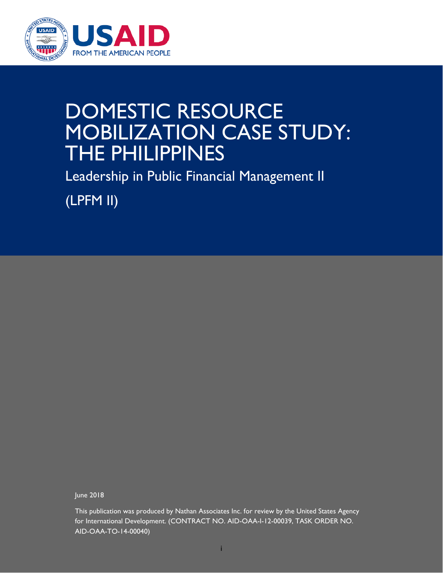

# DOMESTIC RESOURCE MOBILIZATION CASE STUDY: THE PHILIPPINES

Leadership in Public Financial Management II

(LPFM II)

June 2018

This publication was produced by Nathan Associates Inc. for review by the United States Agency for International Development. (CONTRACT NO. AID-OAA-I-12-00039, TASK ORDER NO. AID-OAA-TO-14-00040)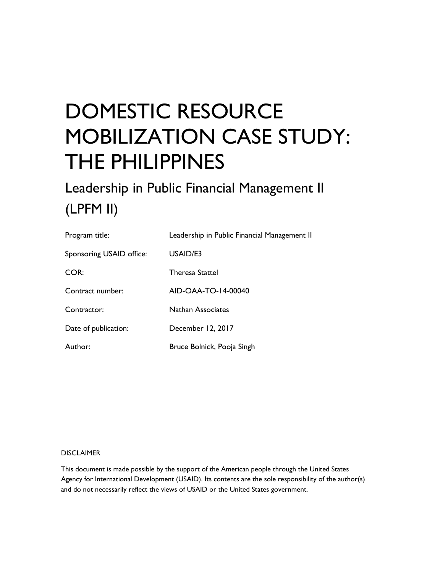# DOMESTIC RESOURCE MOBILIZATION CASE STUDY: THE PHILIPPINES

### Leadership in Public Financial Management II (LPFM II)

| Program title:           | Leadership in Public Financial Management II |
|--------------------------|----------------------------------------------|
| Sponsoring USAID office: | USAID/E3                                     |
| COR:                     | <b>Theresa Stattel</b>                       |
| Contract number:         | AID-OAA-TO-14-00040                          |
| Contractor:              | <b>Nathan Associates</b>                     |
| Date of publication:     | December 12, 2017                            |
| Author:                  | Bruce Bolnick, Pooja Singh                   |

#### DISCLAIMER

This document is made possible by the support of the American people through the United States Agency for International Development (USAID). Its contents are the sole responsibility of the author(s) and do not necessarily reflect the views of USAID or the United States government.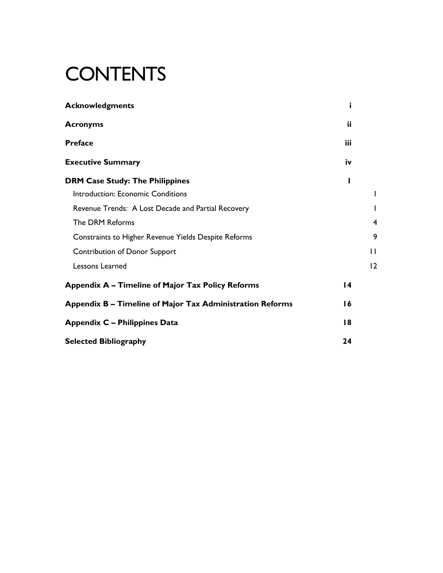# **CONTENTS**

| <b>Acknowledgments</b>                                    | j   |              |
|-----------------------------------------------------------|-----|--------------|
| <b>Acronyms</b>                                           | ii  |              |
| <b>Preface</b>                                            | iii |              |
| <b>Executive Summary</b>                                  | iv  |              |
| <b>DRM Case Study: The Philippines</b>                    | ı   |              |
| Introduction: Economic Conditions                         |     |              |
| Revenue Trends: A Lost Decade and Partial Recovery        |     |              |
| The DRM Reforms                                           |     | 4            |
| Constraints to Higher Revenue Yields Despite Reforms      |     | 9            |
| <b>Contribution of Donor Support</b>                      |     | $\mathbf{I}$ |
| Lessons Learned                                           |     | 12           |
| Appendix A - Timeline of Major Tax Policy Reforms         | 14  |              |
| Appendix B - Timeline of Major Tax Administration Reforms | 16  |              |
| <b>Appendix C - Philippines Data</b>                      | 18  |              |
| <b>Selected Bibliography</b>                              | 24  |              |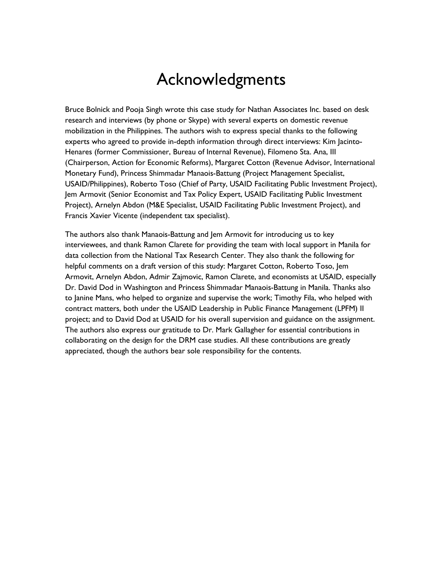### Acknowledgments

Bruce Bolnick and Pooja Singh wrote this case study for Nathan Associates Inc. based on desk research and interviews (by phone or Skype) with several experts on domestic revenue mobilization in the Philippines. The authors wish to express special thanks to the following experts who agreed to provide in-depth information through direct interviews: Kim Jacinto-Henares (former Commissioner, Bureau of Internal Revenue), Filomeno Sta. Ana, III (Chairperson, Action for Economic Reforms), Margaret Cotton (Revenue Advisor, International Monetary Fund), Princess Shimmadar Manaois-Battung (Project Management Specialist, USAID/Philippines), Roberto Toso (Chief of Party, USAID Facilitating Public Investment Project), Jem Armovit (Senior Economist and Tax Policy Expert, USAID Facilitating Public Investment Project), Arnelyn Abdon (M&E Specialist, USAID Facilitating Public Investment Project), and Francis Xavier Vicente (independent tax specialist).

The authors also thank Manaois-Battung and Jem Armovit for introducing us to key interviewees, and thank Ramon Clarete for providing the team with local support in Manila for data collection from the National Tax Research Center. They also thank the following for helpful comments on a draft version of this study: Margaret Cotton, Roberto Toso, Jem Armovit, Arnelyn Abdon, Admir Zajmovic, Ramon Clarete, and economists at USAID, especially Dr. David Dod in Washington and Princess Shimmadar Manaois-Battung in Manila. Thanks also to Janine Mans, who helped to organize and supervise the work; Timothy Fila, who helped with contract matters, both under the USAID Leadership in Public Finance Management (LPFM) II project; and to David Dod at USAID for his overall supervision and guidance on the assignment. The authors also express our gratitude to Dr. Mark Gallagher for essential contributions in collaborating on the design for the DRM case studies. All these contributions are greatly appreciated, though the authors bear sole responsibility for the contents.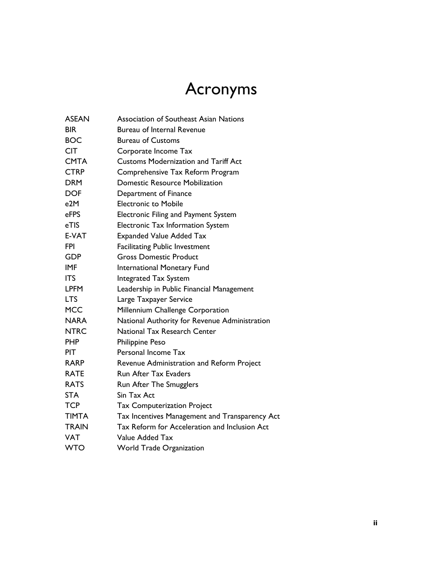# Acronyms

| <b>ASEAN</b> | Association of Southeast Asian Nations         |
|--------------|------------------------------------------------|
| <b>BIR</b>   | <b>Bureau of Internal Revenue</b>              |
| <b>BOC</b>   | <b>Bureau of Customs</b>                       |
| <b>CIT</b>   | Corporate Income Tax                           |
| <b>CMTA</b>  | <b>Customs Modernization and Tariff Act</b>    |
| <b>CTRP</b>  | Comprehensive Tax Reform Program               |
| <b>DRM</b>   | <b>Domestic Resource Mobilization</b>          |
| <b>DOF</b>   | Department of Finance                          |
| e2M          | <b>Electronic to Mobile</b>                    |
| eFPS         | Electronic Filing and Payment System           |
| eTIS         | Electronic Tax Information System              |
| E-VAT        | <b>Expanded Value Added Tax</b>                |
| FPI.         | <b>Facilitating Public Investment</b>          |
| <b>GDP</b>   | <b>Gross Domestic Product</b>                  |
| <b>IMF</b>   | International Monetary Fund                    |
| <b>ITS</b>   | <b>Integrated Tax System</b>                   |
| <b>LPFM</b>  | Leadership in Public Financial Management      |
| <b>LTS</b>   | Large Taxpayer Service                         |
| <b>MCC</b>   | Millennium Challenge Corporation               |
| <b>NARA</b>  | National Authority for Revenue Administration  |
| <b>NTRC</b>  | National Tax Research Center                   |
| <b>PHP</b>   | <b>Philippine Peso</b>                         |
| <b>PIT</b>   | Personal Income Tax                            |
| <b>RARP</b>  | Revenue Administration and Reform Project      |
| <b>RATE</b>  | <b>Run After Tax Evaders</b>                   |
| <b>RATS</b>  | Run After The Smugglers                        |
| <b>STA</b>   | Sin Tax Act                                    |
| <b>TCP</b>   | <b>Tax Computerization Project</b>             |
| <b>TIMTA</b> | Tax Incentives Management and Transparency Act |
| <b>TRAIN</b> | Tax Reform for Acceleration and Inclusion Act  |
| <b>VAT</b>   | Value Added Tax                                |
| <b>WTO</b>   | <b>World Trade Organization</b>                |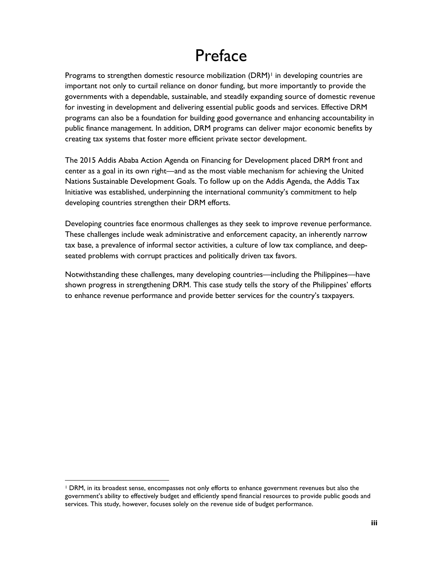### Preface

Programs to strengthen domestic resource mobilization  $(DRM)^+$  in developing countries are important not only to curtail reliance on donor funding, but more importantly to provide the governments with a dependable, sustainable, and steadily expanding source of domestic revenue for investing in development and delivering essential public goods and services. Effective DRM programs can also be a foundation for building good governance and enhancing accountability in public finance management. In addition, DRM programs can deliver major economic benefits by creating tax systems that foster more efficient private sector development.

The 2015 Addis Ababa Action Agenda on Financing for Development placed DRM front and center as a goal in its own right—and as the most viable mechanism for achieving the United Nations Sustainable Development Goals. To follow up on the Addis Agenda, the Addis Tax Initiative was established, underpinning the international community's commitment to help developing countries strengthen their DRM efforts.

Developing countries face enormous challenges as they seek to improve revenue performance. These challenges include weak administrative and enforcement capacity, an inherently narrow tax base, a prevalence of informal sector activities, a culture of low tax compliance, and deepseated problems with corrupt practices and politically driven tax favors.

Notwithstanding these challenges, many developing countries—including the Philippines—have shown progress in strengthening DRM. This case study tells the story of the Philippines' efforts to enhance revenue performance and provide better services for the country's taxpayers.

 $\overline{a}$ 

<span id="page-6-0"></span><sup>1</sup> DRM, in its broadest sense, encompasses not only efforts to enhance government revenues but also the government's ability to effectively budget and efficiently spend financial resources to provide public goods and services. This study, however, focuses solely on the revenue side of budget performance.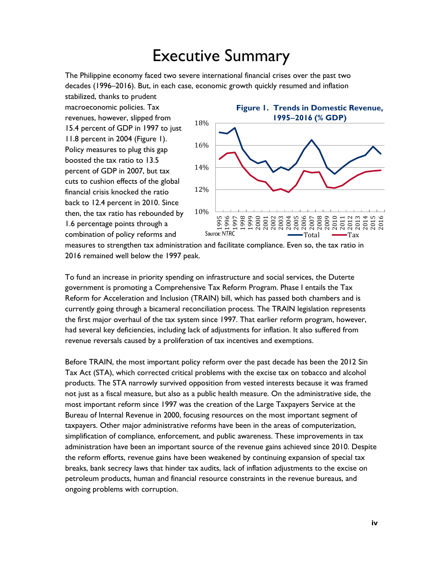### Executive Summary

The Philippine economy faced two severe international financial crises over the past two decades (1996–2016). But, in each case, economic growth quickly resumed and inflation

stabilized, thanks to prudent macroeconomic policies. Tax revenues, however, slipped from 15.4 percent of GDP in 1997 to just 11.8 percent in 2004 (Figure 1). Policy measures to plug this gap boosted the tax ratio to 13.5 percent of GDP in 2007, but tax cuts to cushion effects of the global financial crisis knocked the ratio back to 12.4 percent in 2010. Since then, the tax ratio has rebounded by 1.6 percentage points through a combination of policy reforms and



measures to strengthen tax administration and facilitate compliance. Even so, the tax ratio in 2016 remained well below the 1997 peak.

To fund an increase in priority spending on infrastructure and social services, the Duterte government is promoting a Comprehensive Tax Reform Program. Phase I entails the Tax Reform for Acceleration and Inclusion (TRAIN) bill, which has passed both chambers and is currently going through a bicameral reconciliation process. The TRAIN legislation represents the first major overhaul of the tax system since 1997. That earlier reform program, however, had several key deficiencies, including lack of adjustments for inflation. It also suffered from revenue reversals caused by a proliferation of tax incentives and exemptions.

Before TRAIN, the most important policy reform over the past decade has been the 2012 Sin Tax Act (STA), which corrected critical problems with the excise tax on tobacco and alcohol products. The STA narrowly survived opposition from vested interests because it was framed not just as a fiscal measure, but also as a public health measure. On the administrative side, the most important reform since 1997 was the creation of the Large Taxpayers Service at the Bureau of Internal Revenue in 2000, focusing resources on the most important segment of taxpayers. Other major administrative reforms have been in the areas of computerization, simplification of compliance, enforcement, and public awareness. These improvements in tax administration have been an important source of the revenue gains achieved since 2010. Despite the reform efforts, revenue gains have been weakened by continuing expansion of special tax breaks, bank secrecy laws that hinder tax audits, lack of inflation adjustments to the excise on petroleum products, human and financial resource constraints in the revenue bureaus, and ongoing problems with corruption.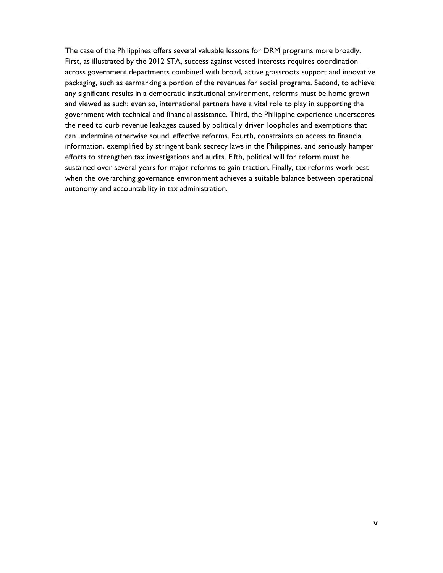The case of the Philippines offers several valuable lessons for DRM programs more broadly. First, as illustrated by the 2012 STA, success against vested interests requires coordination across government departments combined with broad, active grassroots support and innovative packaging, such as earmarking a portion of the revenues for social programs. Second, to achieve any significant results in a democratic institutional environment, reforms must be home grown and viewed as such; even so, international partners have a vital role to play in supporting the government with technical and financial assistance. Third, the Philippine experience underscores the need to curb revenue leakages caused by politically driven loopholes and exemptions that can undermine otherwise sound, effective reforms. Fourth, constraints on access to financial information, exemplified by stringent bank secrecy laws in the Philippines, and seriously hamper efforts to strengthen tax investigations and audits. Fifth, political will for reform must be sustained over several years for major reforms to gain traction. Finally, tax reforms work best when the overarching governance environment achieves a suitable balance between operational autonomy and accountability in tax administration.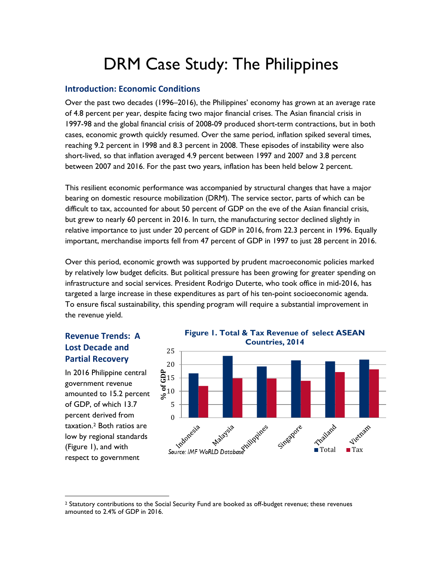## DRM Case Study: The Philippines

#### **Introduction: Economic Conditions**

Over the past two decades (1996–2016), the Philippines' economy has grown at an average rate of 4.8 percent per year, despite facing two major financial crises. The Asian financial crisis in 1997-98 and the global financial crisis of 2008-09 produced short-term contractions, but in both cases, economic growth quickly resumed. Over the same period, inflation spiked several times, reaching 9.2 percent in 1998 and 8.3 percent in 2008. These episodes of instability were also short-lived, so that inflation averaged 4.9 percent between 1997 and 2007 and 3.8 percent between 2007 and 2016. For the past two years, inflation has been held below 2 percent.

This resilient economic performance was accompanied by structural changes that have a major bearing on domestic resource mobilization (DRM). The service sector, parts of which can be difficult to tax, accounted for about 50 percent of GDP on the eve of the Asian financial crisis, but grew to nearly 60 percent in 2016. In turn, the manufacturing sector declined slightly in relative importance to just under 20 percent of GDP in 2016, from 22.3 percent in 1996. Equally important, merchandise imports fell from 47 percent of GDP in 1997 to just 28 percent in 2016.

Over this period, economic growth was supported by prudent macroeconomic policies marked by relatively low budget deficits. But political pressure has been growing for greater spending on infrastructure and social services. President Rodrigo Duterte, who took office in mid-2016, has targeted a large increase in these expenditures as part of his ten-point socioeconomic agenda. To ensure fiscal sustainability, this spending program will require a substantial improvement in the revenue yield.

#### **Revenue Trends: A Lost Decade and Partial Recovery**

In 2016 Philippine central government revenue amounted to 15.2 percent of GDP, of which 13.7 percent derived from taxation.[2](#page-9-0) Both ratios are low by regional standards (Figure 1), and with respect to government

 $\overline{a}$ 



<span id="page-9-0"></span><sup>&</sup>lt;sup>2</sup> Statutory contributions to the Social Security Fund are booked as off-budget revenue; these revenues amounted to 2.4% of GDP in 2016.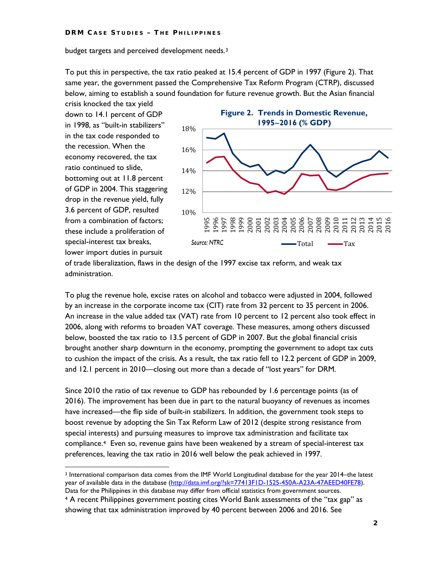budget targets and perceived development needs.[3](#page-10-0)

To put this in perspective, the tax ratio peaked at 15.4 percent of GDP in 1997 (Figure 2). That same year, the government passed the Comprehensive Tax Reform Program (CTRP), discussed below, aiming to establish a sound foundation for future revenue growth. But the Asian financial

crisis knocked the tax yield down to 14.1 percent of GDP in 1998, as "built-in stabilizers" in the tax code responded to the recession. When the economy recovered, the tax ratio continued to slide, bottoming out at 11.8 percent of GDP in 2004. This staggering drop in the revenue yield, fully 3.6 percent of GDP, resulted from a combination of factors; these include a proliferation of special-interest tax breaks, lower import duties in pursuit

 $\overline{a}$ 



of trade liberalization, flaws in the design of the 1997 excise tax reform, and weak tax administration.

To plug the revenue hole, excise rates on alcohol and tobacco were adjusted in 2004, followed by an increase in the corporate income tax (CIT) rate from 32 percent to 35 percent in 2006. An increase in the value added tax (VAT) rate from 10 percent to 12 percent also took effect in 2006, along with reforms to broaden VAT coverage. These measures, among others discussed below, boosted the tax ratio to 13.5 percent of GDP in 2007. But the global financial crisis brought another sharp downturn in the economy, prompting the government to adopt tax cuts to cushion the impact of the crisis. As a result, the tax ratio fell to 12.2 percent of GDP in 2009, and 12.1 percent in 2010—closing out more than a decade of "lost years" for DRM.

Since 2010 the ratio of tax revenue to GDP has rebounded by 1.6 percentage points (as of 2016). The improvement has been due in part to the natural buoyancy of revenues as incomes have increased—the flip side of built-in stabilizers. In addition, the government took steps to boost revenue by adopting the Sin Tax Reform Law of 2012 (despite strong resistance from special interests) and pursuing measures to improve tax administration and facilitate tax compliance.[4](#page-10-1) Even so, revenue gains have been weakened by a stream of special-interest tax preferences, leaving the tax ratio in 2016 well below the peak achieved in 1997.

<span id="page-10-0"></span><sup>3</sup> International comparison data comes from the IMF World Longitudinal database for the year 2014–the latest year of available data in the database [\(http://data.imf.org/?sk=77413F1D-1525-450A-A23A-47AEED40FE78\)](http://data.imf.org/?sk=77413F1D-1525-450A-A23A-47AEED40FE78). Data for the Philippines in this database may differ from official statistics from government sources.

<span id="page-10-1"></span><sup>4</sup> A recent Philippines government posting cites World Bank assessments of the "tax gap" as showing that tax administration improved by 40 percent between 2006 and 2016. See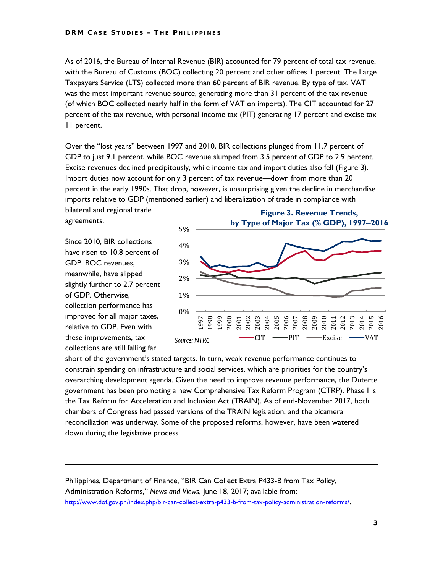As of 2016, the Bureau of Internal Revenue (BIR) accounted for 79 percent of total tax revenue, with the Bureau of Customs (BOC) collecting 20 percent and other offices 1 percent. The Large Taxpayers Service (LTS) collected more than 60 percent of BIR revenue. By type of tax, VAT was the most important revenue source, generating more than 31 percent of the tax revenue (of which BOC collected nearly half in the form of VAT on imports). The CIT accounted for 27 percent of the tax revenue, with personal income tax (PIT) generating 17 percent and excise tax 11 percent.

Over the "lost years" between 1997 and 2010, BIR collections plunged from 11.7 percent of GDP to just 9.1 percent, while BOC revenue slumped from 3.5 percent of GDP to 2.9 percent. Excise revenues declined precipitously, while income tax and import duties also fell (Figure 3). Import duties now account for only 3 percent of tax revenue—down from more than 20 percent in the early 1990s. That drop, however, is unsurprising given the decline in merchandise imports relative to GDP (mentioned earlier) and liberalization of trade in compliance with

bilateral and regional trade agreements.

Since 2010, BIR collections have risen to 10.8 percent of GDP. BOC revenues, meanwhile, have slipped slightly further to 2.7 percent of GDP. Otherwise, collection performance has improved for all major taxes, relative to GDP. Even with these improvements, tax collections are still falling far

 $\overline{a}$ 



short of the government's stated targets. In turn, weak revenue performance continues to constrain spending on infrastructure and social services, which are priorities for the country's overarching development agenda. Given the need to improve revenue performance, the Duterte government has been promoting a new Comprehensive Tax Reform Program (CTRP). Phase I is the Tax Reform for Acceleration and Inclusion Act (TRAIN). As of end-November 2017, both chambers of Congress had passed versions of the TRAIN legislation, and the bicameral reconciliation was underway. Some of the proposed reforms, however, have been watered down during the legislative process.

Philippines, Department of Finance, "BIR Can Collect Extra P433-B from Tax Policy, Administration Reforms," *News and Views*, June 18, 2017; available from: [http://www.dof.gov.ph/index.php/bir-can-collect-extra-p433-b-from-tax-policy-administration-reforms/.](http://www.dof.gov.ph/index.php/bir-can-collect-extra-p433-b-from-tax-policy-administration-reforms/)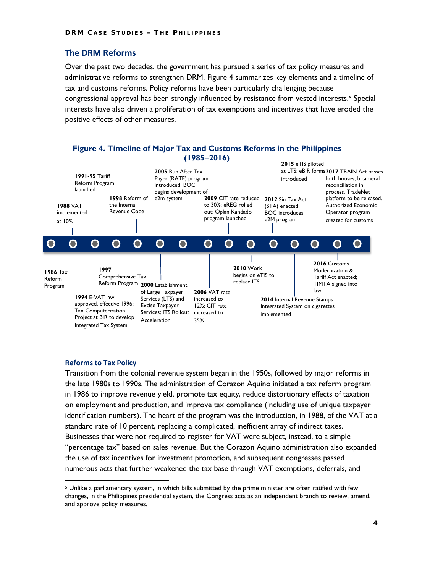#### **The DRM Reforms**

Over the past two decades, the government has pursued a series of tax policy measures and administrative reforms to strengthen DRM. Figure 4 summarizes key elements and a timeline of tax and customs reforms. Policy reforms have been particularly challenging because congressional approval has been strongly influenced by resistance from vested interests.[5](#page-12-0) Special interests have also driven a proliferation of tax exemptions and incentives that have eroded the positive effects of other measures.



#### **Reforms to Tax Policy**

 $\overline{a}$ 

Transition from the colonial revenue system began in the 1950s, followed by major reforms in the late 1980s to 1990s. The administration of Corazon Aquino initiated a tax reform program in 1986 to improve revenue yield, promote tax equity, reduce distortionary effects of taxation on employment and production, and improve tax compliance (including use of unique taxpayer identification numbers). The heart of the program was the introduction, in 1988, of the VAT at a standard rate of 10 percent, replacing a complicated, inefficient array of indirect taxes. Businesses that were not required to register for VAT were subject, instead, to a simple "percentage tax" based on sales revenue. But the Corazon Aquino administration also expanded the use of tax incentives for investment promotion, and subsequent congresses passed numerous acts that further weakened the tax base through VAT exemptions, deferrals, and

<span id="page-12-0"></span><sup>&</sup>lt;sup>5</sup> Unlike a parliamentary system, in which bills submitted by the prime minister are often ratified with few changes, in the Philippines presidential system, the Congress acts as an independent branch to review, amend, and approve policy measures.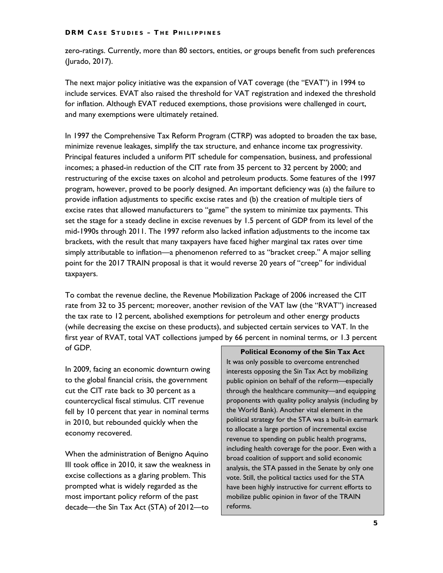zero-ratings. Currently, more than 80 sectors, entities, or groups benefit from such preferences (Jurado, 2017).

The next major policy initiative was the expansion of VAT coverage (the "EVAT") in 1994 to include services. EVAT also raised the threshold for VAT registration and indexed the threshold for inflation. Although EVAT reduced exemptions, those provisions were challenged in court, and many exemptions were ultimately retained.

In 1997 the Comprehensive Tax Reform Program (CTRP) was adopted to broaden the tax base, minimize revenue leakages, simplify the tax structure, and enhance income tax progressivity. Principal features included a uniform PIT schedule for compensation, business, and professional incomes; a phased-in reduction of the CIT rate from 35 percent to 32 percent by 2000; and restructuring of the excise taxes on alcohol and petroleum products. Some features of the 1997 program, however, proved to be poorly designed. An important deficiency was (a) the failure to provide inflation adjustments to specific excise rates and (b) the creation of multiple tiers of excise rates that allowed manufacturers to "game" the system to minimize tax payments. This set the stage for a steady decline in excise revenues by 1.5 percent of GDP from its level of the mid-1990s through 2011. The 1997 reform also lacked inflation adjustments to the income tax brackets, with the result that many taxpayers have faced higher marginal tax rates over time simply attributable to inflation—a phenomenon referred to as "bracket creep." A major selling point for the 2017 TRAIN proposal is that it would reverse 20 years of "creep" for individual taxpayers.

To combat the revenue decline, the Revenue Mobilization Package of 2006 increased the CIT rate from 32 to 35 percent; moreover, another revision of the VAT law (the "RVAT") increased the tax rate to 12 percent, abolished exemptions for petroleum and other energy products (while decreasing the excise on these products), and subjected certain services to VAT. In the first year of RVAT, total VAT collections jumped by 66 percent in nominal terms, or 1.3 percent of GDP.

In 2009, facing an economic downturn owing to the global financial crisis, the government cut the CIT rate back to 30 percent as a countercyclical fiscal stimulus. CIT revenue fell by 10 percent that year in nominal terms in 2010, but rebounded quickly when the economy recovered.

When the administration of Benigno Aquino III took office in 2010, it saw the weakness in excise collections as a glaring problem. This prompted what is widely regarded as the most important policy reform of the past decade—the Sin Tax Act (STA) of 2012—to

**Political Economy of the Sin Tax Act** It was only possible to overcome entrenched interests opposing the Sin Tax Act by mobilizing public opinion on behalf of the reform—especially through the healthcare community—and equipping proponents with quality policy analysis (including by the World Bank). Another vital element in the political strategy for the STA was a built-in earmark to allocate a large portion of incremental excise revenue to spending on public health programs, including health coverage for the poor. Even with a broad coalition of support and solid economic analysis, the STA passed in the Senate by only one vote. Still, the political tactics used for the STA have been highly instructive for current efforts to mobilize public opinion in favor of the TRAIN reforms.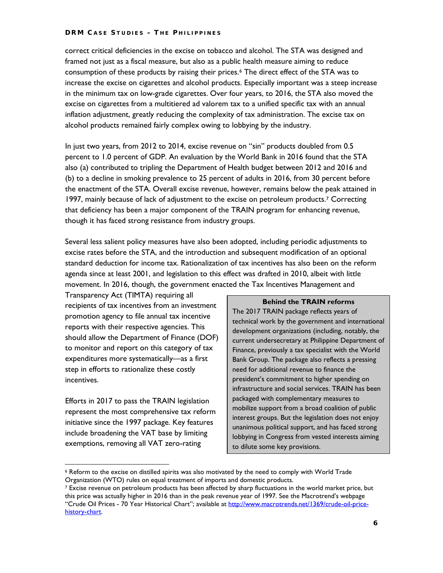correct critical deficiencies in the excise on tobacco and alcohol. The STA was designed and framed not just as a fiscal measure, but also as a public health measure aiming to reduce consumption of these products by raising their prices.<sup>[6](#page-14-0)</sup> The direct effect of the STA was to increase the excise on cigarettes and alcohol products. Especially important was a steep increase in the minimum tax on low-grade cigarettes. Over four years, to 2016, the STA also moved the excise on cigarettes from a multitiered ad valorem tax to a unified specific tax with an annual inflation adjustment, greatly reducing the complexity of tax administration. The excise tax on alcohol products remained fairly complex owing to lobbying by the industry.

In just two years, from 2012 to 2014, excise revenue on "sin" products doubled from 0.5 percent to 1.0 percent of GDP. An evaluation by the World Bank in 2016 found that the STA also (a) contributed to tripling the Department of Health budget between 2012 and 2016 and (b) to a decline in smoking prevalence to 25 percent of adults in 2016, from 30 percent before the enactment of the STA. Overall excise revenue, however, remains below the peak attained in 199[7](#page-14-1), mainly because of lack of adjustment to the excise on petroleum products.<sup>7</sup> Correcting that deficiency has been a major component of the TRAIN program for enhancing revenue, though it has faced strong resistance from industry groups.

Several less salient policy measures have also been adopted, including periodic adjustments to excise rates before the STA, and the introduction and subsequent modification of an optional standard deduction for income tax. Rationalization of tax incentives has also been on the reform agenda since at least 2001, and legislation to this effect was drafted in 2010, albeit with little movement. In 2016, though, the government enacted the [Tax Incentives Management and](http://www.dof.gov.ph/index.php/timta/) 

[Transparency Act](http://www.dof.gov.ph/index.php/timta/) (TIMTA) requiring all recipients of tax incentives from an investment promotion agency to file annual tax incentive reports with their respective agencies. This should allow the Department of Finance (DOF) to monitor and report on this category of tax expenditures more systematically—as a first step in efforts to rationalize these costly incentives.

Efforts in 2017 to pass the TRAIN legislation represent the most comprehensive tax reform initiative since the 1997 package. Key features include broadening the VAT base by limiting exemptions, removing all VAT zero-rating

 $\overline{a}$ 

#### **Behind the TRAIN reforms**

The 2017 TRAIN package reflects years of technical work by the government and international development organizations (including, notably, the current undersecretary at Philippine Department of Finance, previously a tax specialist with the World Bank Group. The package also reflects a pressing need for additional revenue to finance the president's commitment to higher spending on infrastructure and social services. TRAIN has been packaged with complementary measures to mobilize support from a broad coalition of public interest groups. But the legislation does not enjoy unanimous political support, and has faced strong lobbying in Congress from vested interests aiming to dilute some key provisions.

<span id="page-14-0"></span><sup>6</sup> Reform to the excise on distilled spirits was also motivated by the need to comply with World Trade Organization (WTO) rules on equal treatment of imports and domestic products.

<span id="page-14-1"></span><sup>7</sup> Excise revenue on petroleum products has been affected by sharp fluctuations in the world market price, but this price was actually higher in 2016 than in the peak revenue year of 1997. See the Macrotrend's webpage "Crude Oil Prices - 70 Year Historical Chart"; available at [http://www.macrotrends.net/1369/crude-oil-price](http://www.macrotrends.net/1369/crude-oil-price-history-chart)[history-chart.](http://www.macrotrends.net/1369/crude-oil-price-history-chart)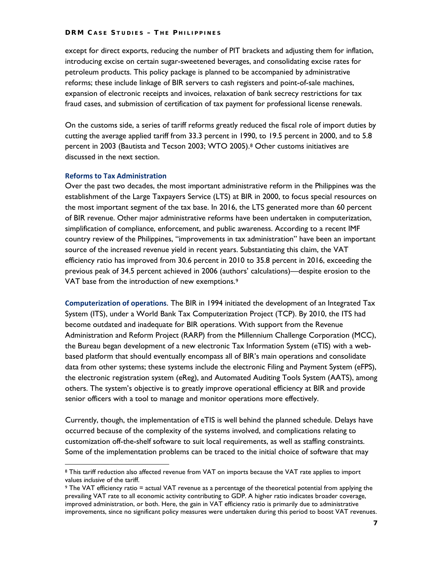except for direct exports, reducing the number of PIT brackets and adjusting them for inflation, introducing excise on certain sugar-sweetened beverages, and consolidating excise rates for petroleum products. This policy package is planned to be accompanied by administrative reforms; these include linkage of BIR servers to cash registers and point-of-sale machines, expansion of electronic receipts and invoices, relaxation of bank secrecy restrictions for tax fraud cases, and submission of certification of tax payment for professional license renewals.

On the customs side, a series of tariff reforms greatly reduced the fiscal role of import duties by cutting the average applied tariff from 33.3 percent in 1990, to 19.5 percent in 2000, and to 5.8 percent in 2003 (Bautista and Tecson 2003; WTO 2005).[8](#page-15-0) Other customs initiatives are discussed in the next section.

#### **Reforms to Tax Administration**

 $\overline{a}$ 

Over the past two decades, the most important administrative reform in the Philippines was the establishment of the Large Taxpayers Service (LTS) at BIR in 2000, to focus special resources on the most important segment of the tax base. In 2016, the LTS generated more than 60 percent of BIR revenue. Other major administrative reforms have been undertaken in computerization, simplification of compliance, enforcement, and public awareness. According to a recent IMF country review of the Philippines, "improvements in tax administration" have been an important source of the increased revenue yield in recent years. Substantiating this claim, the VAT efficiency ratio has improved from 30.6 percent in 2010 to 35.8 percent in 2016, exceeding the previous peak of 34.5 percent achieved in 2006 (authors' calculations)—despite erosion to the VAT base from the introduction of new exemptions.<sup>[9](#page-15-1)</sup>

**Computerization of operations**. The BIR in 1994 initiated the development of an Integrated Tax System (ITS), under a World Bank Tax Computerization Project (TCP). By 2010, the ITS had become outdated and inadequate for BIR operations. With support from the Revenue Administration and Reform Project (RARP) from the Millennium Challenge Corporation (MCC), the Bureau began development of a new electronic Tax Information System (eTIS) with a webbased platform that should eventually encompass all of BIR's main operations and consolidate data from other systems; these systems include the electronic Filing and Payment System (eFPS), the electronic registration system (eReg), and Automated Auditing Tools System (AATS), among others. The system's objective is to greatly improve operational efficiency at BIR and provide senior officers with a tool to manage and monitor operations more effectively.

Currently, though, the implementation of eTIS is well behind the planned schedule. Delays have occurred because of the complexity of the systems involved, and complications relating to customization off-the-shelf software to suit local requirements, as well as staffing constraints. Some of the implementation problems can be traced to the initial choice of software that may

<span id="page-15-0"></span><sup>8</sup> This tariff reduction also affected revenue from VAT on imports because the VAT rate applies to import values *inclusive* of the tariff.

<span id="page-15-1"></span><sup>9</sup> The VAT efficiency ratio = actual VAT revenue as a percentage of the theoretical potential from applying the prevailing VAT rate to all economic activity contributing to GDP. A higher ratio indicates broader coverage, improved administration, or both. Here, the gain in VAT efficiency ratio is primarily due to administrative improvements, since no significant policy measures were undertaken during this period to boost VAT revenues.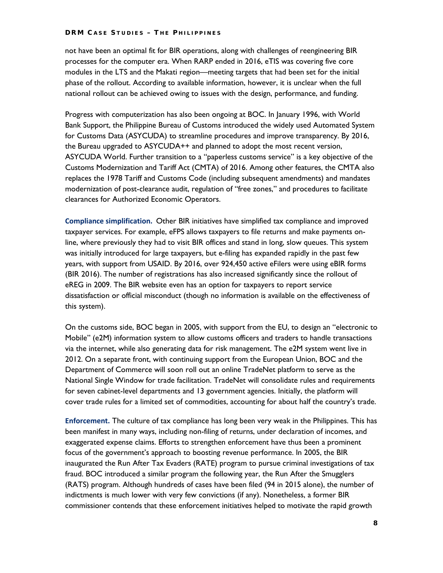not have been an optimal fit for BIR operations, along with challenges of reengineering BIR processes for the computer era. When RARP ended in 2016, eTIS was covering five core modules in the LTS and the Makati region—meeting targets that had been set for the initial phase of the rollout. According to available information, however, it is unclear when the full national rollout can be achieved owing to issues with the design, performance, and funding.

Progress with computerization has also been ongoing at BOC. In January 1996, with World Bank Support, the Philippine Bureau of Customs introduced the widely used Automated System for Customs Data (ASYCUDA) to streamline procedures and improve transparency. By 2016, the Bureau upgraded to ASYCUDA++ and planned to adopt the most recent version, ASYCUDA World. Further transition to a "paperless customs service" is a key objective of the Customs Modernization and Tariff Act (CMTA) of 2016. Among other features, the CMTA also replaces the 1978 Tariff and Customs Code (including subsequent amendments) and mandates modernization of post-clearance audit, regulation of "free zones," and procedures to facilitate clearances for Authorized Economic Operators.

**Compliance simplification.** Other BIR initiatives have simplified tax compliance and improved taxpayer services. For example, eFPS allows taxpayers to file returns and make payments online, where previously they had to visit BIR offices and stand in long, slow queues. This system was initially introduced for large taxpayers, but e-filing has expanded rapidly in the past few years, with support from USAID. By 2016, over 924,450 active eFilers were using eBIR forms (BIR 2016). The number of registrations has also increased significantly since the rollout of eREG in 2009. The BIR website even has an option for taxpayers to report service dissatisfaction or official misconduct (though no information is available on the effectiveness of this system).

On the customs side, BOC began in 2005, with support from the EU, to design an "electronic to Mobile" (e2M) information system to allow customs officers and traders to handle transactions via the internet, while also generating data for risk management. The e2M system went live in 2012. On a separate front, with continuing support from the European Union, BOC and the Department of Commerce will soon roll out an online TradeNet platform to serve as the National Single Window for trade facilitation. TradeNet will consolidate rules and requirements for seven cabinet-level departments and 13 government agencies. Initially, the platform will cover trade rules for a limited set of commodities, accounting for about half the country's trade.

**Enforcement.** The culture of tax compliance has long been very weak in the Philippines. This has been manifest in many ways, including non-filing of returns, under declaration of incomes, and exaggerated expense claims. Efforts to strengthen enforcement have thus been a prominent focus of the government's approach to boosting revenue performance. In 2005, the BIR inaugurated the Run After Tax Evaders (RATE) program to pursue criminal investigations of tax fraud. BOC introduced a similar program the following year, the Run After the Smugglers (RATS) program. Although hundreds of cases have been filed (94 in 2015 alone), the number of indictments is much lower with very few convictions (if any). Nonetheless, a former BIR commissioner contends that these enforcement initiatives helped to motivate the rapid growth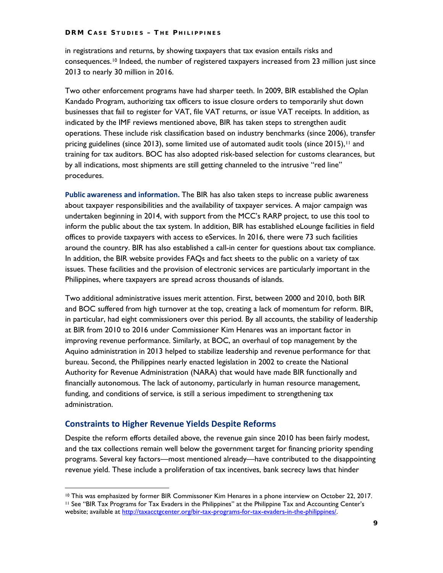in registrations and returns, by showing taxpayers that tax evasion entails risks and consequences.[10](#page-17-0) Indeed, the number of registered taxpayers increased from 23 million just since 2013 to nearly 30 million in 2016.

Two other enforcement programs have had sharper teeth. In 2009, BIR established the Oplan Kandado Program, authorizing tax officers to issue closure orders to temporarily shut down businesses that fail to register for VAT, file VAT returns, or issue VAT receipts. In addition, as indicated by the IMF reviews mentioned above, BIR has taken steps to strengthen audit operations. These include risk classification based on industry benchmarks (since 2006), transfer pricing guidelines (since 2013), some limited use of automated audit tools (since 2015),<sup>[11](#page-17-1)</sup> and training for tax auditors. BOC has also adopted risk-based selection for customs clearances, but by all indications, most shipments are still getting channeled to the intrusive "red line" procedures.

**Public awareness and information.** The BIR has also taken steps to increase public awareness about taxpayer responsibilities and the availability of taxpayer services. A major campaign was undertaken beginning in 2014, with support from the MCC's RARP project, to use this tool to inform the public about the tax system. In addition, BIR has established eLounge facilities in field offices to provide taxpayers with access to eServices. In 2016, there were 73 such facilities around the country. BIR has also established a call-in center for questions about tax compliance. In addition, the BIR website provides FAQs and fact sheets to the public on a variety of tax issues. These facilities and the provision of electronic services are particularly important in the Philippines, where taxpayers are spread across thousands of islands.

Two additional administrative issues merit attention. First, between 2000 and 2010, both BIR and BOC suffered from high turnover at the top, creating a lack of momentum for reform. BIR, in particular, had eight commissioners over this period. By all accounts, the stability of leadership at BIR from 2010 to 2016 under Commissioner Kim Henares was an important factor in improving revenue performance. Similarly, at BOC, an overhaul of top management by the Aquino administration in 2013 helped to stabilize leadership and revenue performance for that bureau. Second, the Philippines nearly enacted legislation in 2002 to create the National Authority for Revenue Administration (NARA) that would have made BIR functionally and financially autonomous. The lack of autonomy, particularly in human resource management, funding, and conditions of service, is still a serious impediment to strengthening tax administration.

#### **Constraints to Higher Revenue Yields Despite Reforms**

 $\overline{a}$ 

Despite the reform efforts detailed above, the revenue gain since 2010 has been fairly modest, and the tax collections remain well below the government target for financing priority spending programs. Several key factors—most mentioned already—have contributed to the disappointing revenue yield. These include a proliferation of tax incentives, bank secrecy laws that hinder

<span id="page-17-0"></span><sup>10</sup> This was emphasized by former BIR Commissoner Kim Henares in a phone interview on October 22, 2017.

<span id="page-17-1"></span><sup>11</sup> See "BIR Tax Programs for Tax Evaders in the Philippines" at the Philippine Tax and Accounting Center's website; available at [http://taxacctgcenter.org/bir-tax-programs-for-tax-evaders-in-the-philippines/.](http://taxacctgcenter.org/bir-tax-programs-for-tax-evaders-in-the-philippines/)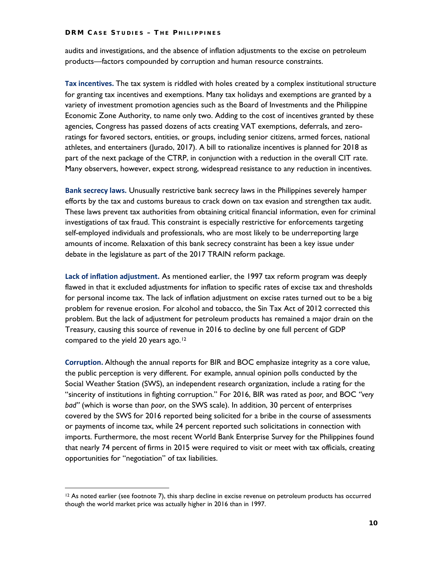audits and investigations, and the absence of inflation adjustments to the excise on petroleum products—factors compounded by corruption and human resource constraints.

**Tax incentives.** The tax system is riddled with holes created by a complex institutional structure for granting tax incentives and exemptions. Many tax holidays and exemptions are granted by a variety of investment promotion agencies such as the Board of Investments and the Philippine Economic Zone Authority, to name only two. Adding to the cost of incentives granted by these agencies, Congress has passed dozens of acts creating VAT exemptions, deferrals, and zeroratings for favored sectors, entities, or groups, including senior citizens, armed forces, national athletes, and entertainers (Jurado, 2017). A bill to rationalize incentives is planned for 2018 as part of the next package of the CTRP, in conjunction with a reduction in the overall CIT rate. Many observers, however, expect strong, widespread resistance to any reduction in incentives.

**Bank secrecy laws.** Unusually restrictive bank secrecy laws in the Philippines severely hamper efforts by the tax and customs bureaus to crack down on tax evasion and strengthen tax audit. These laws prevent tax authorities from obtaining critical financial information, even for criminal investigations of tax fraud. This constraint is especially restrictive for enforcements targeting self-employed individuals and professionals, who are most likely to be underreporting large amounts of income. Relaxation of this bank secrecy constraint has been a key issue under debate in the legislature as part of the 2017 TRAIN reform package.

**Lack of inflation adjustment.** As mentioned earlier, the 1997 tax reform program was deeply flawed in that it excluded adjustments for inflation to specific rates of excise tax and thresholds for personal income tax. The lack of inflation adjustment on excise rates turned out to be a big problem for revenue erosion. For alcohol and tobacco, the Sin Tax Act of 2012 corrected this problem. But the lack of adjustment for petroleum products has remained a major drain on the Treasury, causing this source of revenue in 2016 to decline by one full percent of GDP compared to the yield 20 years ago.<sup>[12](#page-18-0)</sup>

**Corruption.** Although the annual reports for BIR and BOC emphasize integrity as a core value, the public perception is very different. For example, annual opinion polls conducted by the Social Weather Station (SWS), an independent research organization, include a rating for the "sincerity of institutions in fighting corruption." For 2016, BIR was rated as *poor,* and BOC *"very bad"* (which is worse than *poor*, on the SWS scale). In addition, 30 percent of enterprises covered by the SWS for 2016 reported being solicited for a bribe in the course of assessments or payments of income tax, while 24 percent reported such solicitations in connection with imports. Furthermore, the most recent World Bank Enterprise Survey for the Philippines found that nearly 74 percent of firms in 2015 were required to visit or meet with tax officials, creating opportunities for "negotiation" of tax liabilities.

 $\overline{a}$ 

<span id="page-18-0"></span><sup>&</sup>lt;sup>12</sup> As noted earlier (see footnote 7), this sharp decline in excise revenue on petroleum products has occurred though the world market price was actually higher in 2016 than in 1997.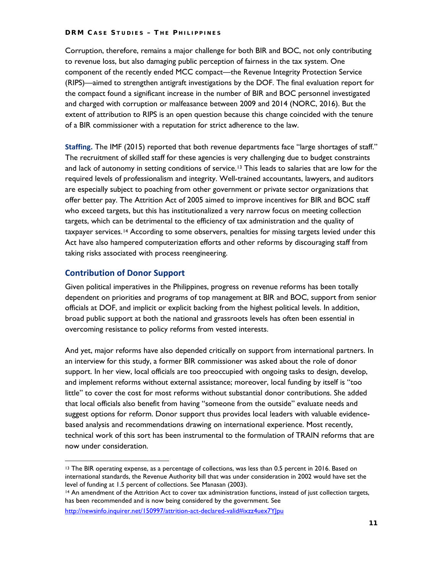Corruption, therefore, remains a major challenge for both BIR and BOC, not only contributing to revenue loss, but also damaging public perception of fairness in the tax system. One component of the recently ended MCC compact—the Revenue Integrity Protection Service (RIPS)—aimed to strengthen antigraft investigations by the DOF. The final evaluation report for the compact found a significant increase in the number of BIR and BOC personnel investigated and charged with corruption or malfeasance between 2009 and 2014 (NORC, 2016). But the extent of attribution to RIPS is an open question because this change coincided with the tenure of a BIR commissioner with a reputation for strict adherence to the law.

**Staffing.** The IMF (2015) reported that both revenue departments face "large shortages of staff." The recruitment of skilled staff for these agencies is very challenging due to budget constraints and lack of autonomy in setting conditions of service.<sup>[13](#page-19-0)</sup> This leads to salaries that are low for the required levels of professionalism and integrity. Well-trained accountants, lawyers, and auditors are especially subject to poaching from other government or private sector organizations that offer better pay. The Attrition Act of 2005 aimed to improve incentives for BIR and BOC staff who exceed targets, but this has institutionalized a very narrow focus on meeting collection targets, which can be detrimental to the efficiency of tax administration and the quality of taxpayer services.[14](#page-19-1) According to some observers, penalties for missing targets levied under this Act have also hampered computerization efforts and other reforms by discouraging staff from taking risks associated with process reengineering.

#### **Contribution of Donor Support**

 $\overline{a}$ 

Given political imperatives in the Philippines, progress on revenue reforms has been totally dependent on priorities and programs of top management at BIR and BOC, support from senior officials at DOF, and implicit or explicit backing from the highest political levels. In addition, broad public support at both the national and grassroots levels has often been essential in overcoming resistance to policy reforms from vested interests.

And yet, major reforms have also depended critically on support from international partners. In an interview for this study, a former BIR commissioner was asked about the role of donor support. In her view, local officials are too preoccupied with ongoing tasks to design, develop, and implement reforms without external assistance; moreover, local funding by itself is "too little" to cover the cost for most reforms without substantial donor contributions. She added that local officials also benefit from having "someone from the outside" evaluate needs and suggest options for reform. Donor support thus provides local leaders with valuable evidencebased analysis and recommendations drawing on international experience. Most recently, technical work of this sort has been instrumental to the formulation of TRAIN reforms that are now under consideration.

<span id="page-19-0"></span><sup>&</sup>lt;sup>13</sup> The BIR operating expense, as a percentage of collections, was less than 0.5 percent in 2016. Based on international standards, the Revenue Authority bill that was under consideration in 2002 would have set the level of funding at 1.5 percent of collections. See Manasan (2003).

<span id="page-19-1"></span><sup>14</sup> An amendment of the Attrition Act to cover tax administration functions, instead of just collection targets, has been recommended and is now being considered by the government. See

http://newsinfo.inquirer.net/150997/attrition-act-declared-valid#ixzz4uex7Ylpu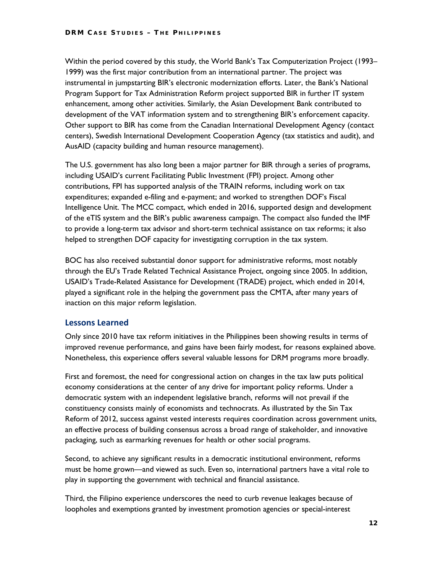Within the period covered by this study, the World Bank's Tax Computerization Project (1993– 1999) was the first major contribution from an international partner. The project was instrumental in jumpstarting BIR's electronic modernization efforts. Later, the Bank's National Program Support for Tax Administration Reform project supported BIR in further IT system enhancement, among other activities. Similarly, the Asian Development Bank contributed to development of the VAT information system and to strengthening BIR's enforcement capacity. Other support to BIR has come from the Canadian International Development Agency (contact centers), Swedish International Development Cooperation Agency (tax statistics and audit), and AusAID (capacity building and human resource management).

The U.S. government has also long been a major partner for BIR through a series of programs, including USAID's current Facilitating Public Investment (FPI) project. Among other contributions, FPI has supported analysis of the TRAIN reforms, including work on tax expenditures; expanded e-filing and e-payment; and worked to strengthen DOF's Fiscal Intelligence Unit. The MCC compact, which ended in 2016, supported design and development of the eTIS system and the BIR's public awareness campaign. The compact also funded the IMF to provide a long-term tax advisor and short-term technical assistance on tax reforms; it also helped to strengthen DOF capacity for investigating corruption in the tax system.

BOC has also received substantial donor support for administrative reforms, most notably through the EU's Trade Related Technical Assistance Project, ongoing since 2005. In addition, USAID's Trade-Related Assistance for Development (TRADE) project, which ended in 2014, played a significant role in the helping the government pass the CMTA, after many years of inaction on this major reform legislation.

#### **Lessons Learned**

Only since 2010 have tax reform initiatives in the Philippines been showing results in terms of improved revenue performance, and gains have been fairly modest, for reasons explained above. Nonetheless, this experience offers several valuable lessons for DRM programs more broadly.

First and foremost, the need for congressional action on changes in the tax law puts political economy considerations at the center of any drive for important policy reforms. Under a democratic system with an independent legislative branch, reforms will not prevail if the constituency consists mainly of economists and technocrats. As illustrated by the Sin Tax Reform of 2012, success against vested interests requires coordination across government units, an effective process of building consensus across a broad range of stakeholder, and innovative packaging, such as earmarking revenues for health or other social programs.

Second, to achieve any significant results in a democratic institutional environment, reforms must be home grown—and viewed as such. Even so, international partners have a vital role to play in supporting the government with technical and financial assistance.

Third, the Filipino experience underscores the need to curb revenue leakages because of loopholes and exemptions granted by investment promotion agencies or special-interest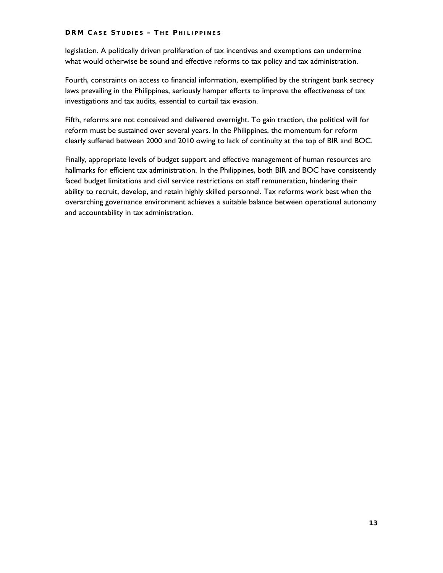legislation. A politically driven proliferation of tax incentives and exemptions can undermine what would otherwise be sound and effective reforms to tax policy and tax administration.

Fourth, constraints on access to financial information, exemplified by the stringent bank secrecy laws prevailing in the Philippines, seriously hamper efforts to improve the effectiveness of tax investigations and tax audits, essential to curtail tax evasion.

Fifth, reforms are not conceived and delivered overnight. To gain traction, the political will for reform must be sustained over several years. In the Philippines, the momentum for reform clearly suffered between 2000 and 2010 owing to lack of continuity at the top of BIR and BOC.

Finally, appropriate levels of budget support and effective management of human resources are hallmarks for efficient tax administration. In the Philippines, both BIR and BOC have consistently faced budget limitations and civil service restrictions on staff remuneration, hindering their ability to recruit, develop, and retain highly skilled personnel. Tax reforms work best when the overarching governance environment achieves a suitable balance between operational autonomy and accountability in tax administration.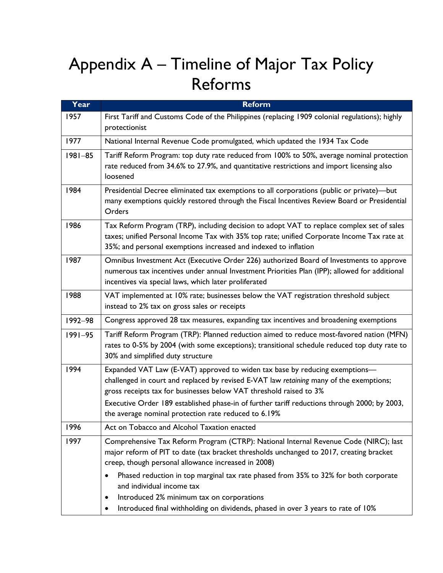# Appendix A – Timeline of Major Tax Policy Reforms

| Year        | <b>Reform</b>                                                                                                                                                                                                                                                                                                                                                                                           |
|-------------|---------------------------------------------------------------------------------------------------------------------------------------------------------------------------------------------------------------------------------------------------------------------------------------------------------------------------------------------------------------------------------------------------------|
| 1957        | First Tariff and Customs Code of the Philippines (replacing 1909 colonial regulations); highly<br>protectionist                                                                                                                                                                                                                                                                                         |
| 1977        | National Internal Revenue Code promulgated, which updated the 1934 Tax Code                                                                                                                                                                                                                                                                                                                             |
| $1981 - 85$ | Tariff Reform Program: top duty rate reduced from 100% to 50%, average nominal protection<br>rate reduced from 34.6% to 27.9%, and quantitative restrictions and import licensing also<br>loosened                                                                                                                                                                                                      |
| 1984        | Presidential Decree eliminated tax exemptions to all corporations (public or private)-but<br>many exemptions quickly restored through the Fiscal Incentives Review Board or Presidential<br>Orders                                                                                                                                                                                                      |
| 1986        | Tax Reform Program (TRP), including decision to adopt VAT to replace complex set of sales<br>taxes; unified Personal Income Tax with 35% top rate; unified Corporate Income Tax rate at<br>35%; and personal exemptions increased and indexed to inflation                                                                                                                                              |
| 1987        | Omnibus Investment Act (Executive Order 226) authorized Board of Investments to approve<br>numerous tax incentives under annual Investment Priorities Plan (IPP); allowed for additional<br>incentives via special laws, which later proliferated                                                                                                                                                       |
| 1988        | VAT implemented at 10% rate; businesses below the VAT registration threshold subject<br>instead to 2% tax on gross sales or receipts                                                                                                                                                                                                                                                                    |
| 1992-98     | Congress approved 28 tax measures, expanding tax incentives and broadening exemptions                                                                                                                                                                                                                                                                                                                   |
| $1991 - 95$ | Tariff Reform Program (TRP): Planned reduction aimed to reduce most-favored nation (MFN)<br>rates to 0-5% by 2004 (with some exceptions); transitional schedule reduced top duty rate to<br>30% and simplified duty structure                                                                                                                                                                           |
| 1994        | Expanded VAT Law (E-VAT) approved to widen tax base by reducing exemptions-<br>challenged in court and replaced by revised E-VAT law retaining many of the exemptions;<br>gross receipts tax for businesses below VAT threshold raised to 3%<br>Executive Order 189 established phase-in of further tariff reductions through 2000; by 2003,<br>the average nominal protection rate reduced to 6.19%    |
| 1996        | Act on Tobacco and Alcohol Taxation enacted                                                                                                                                                                                                                                                                                                                                                             |
| 1997        | Comprehensive Tax Reform Program (CTRP): National Internal Revenue Code (NIRC); last<br>major reform of PIT to date (tax bracket thresholds unchanged to 2017, creating bracket<br>creep, though personal allowance increased in 2008)<br>Phased reduction in top marginal tax rate phased from 35% to 32% for both corporate<br>and individual income tax<br>Introduced 2% minimum tax on corporations |
|             | Introduced final withholding on dividends, phased in over 3 years to rate of 10%                                                                                                                                                                                                                                                                                                                        |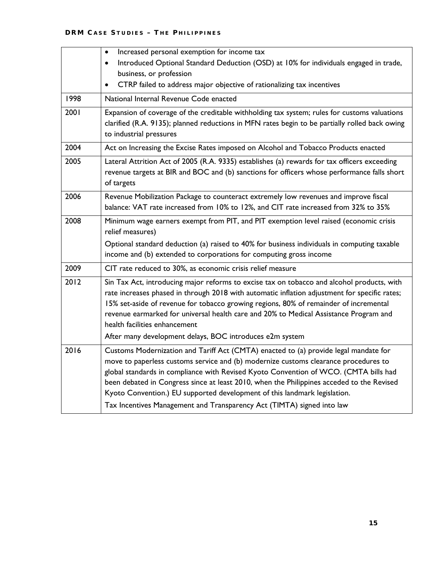|      | Increased personal exemption for income tax<br>$\bullet$<br>Introduced Optional Standard Deduction (OSD) at 10% for individuals engaged in trade,<br>$\bullet$                                                                                                                                                                                                                                                                                                                                                          |
|------|-------------------------------------------------------------------------------------------------------------------------------------------------------------------------------------------------------------------------------------------------------------------------------------------------------------------------------------------------------------------------------------------------------------------------------------------------------------------------------------------------------------------------|
|      | business, or profession                                                                                                                                                                                                                                                                                                                                                                                                                                                                                                 |
|      | CTRP failed to address major objective of rationalizing tax incentives                                                                                                                                                                                                                                                                                                                                                                                                                                                  |
| 1998 | National Internal Revenue Code enacted                                                                                                                                                                                                                                                                                                                                                                                                                                                                                  |
| 2001 | Expansion of coverage of the creditable withholding tax system; rules for customs valuations<br>clarified (R.A. 9135); planned reductions in MFN rates begin to be partially rolled back owing<br>to industrial pressures                                                                                                                                                                                                                                                                                               |
| 2004 | Act on Increasing the Excise Rates imposed on Alcohol and Tobacco Products enacted                                                                                                                                                                                                                                                                                                                                                                                                                                      |
| 2005 | Lateral Attrition Act of 2005 (R.A. 9335) establishes (a) rewards for tax officers exceeding<br>revenue targets at BIR and BOC and (b) sanctions for officers whose performance falls short<br>of targets                                                                                                                                                                                                                                                                                                               |
| 2006 | Revenue Mobilization Package to counteract extremely low revenues and improve fiscal<br>balance: VAT rate increased from 10% to 12%, and CIT rate increased from 32% to 35%                                                                                                                                                                                                                                                                                                                                             |
| 2008 | Minimum wage earners exempt from PIT, and PIT exemption level raised (economic crisis<br>relief measures)                                                                                                                                                                                                                                                                                                                                                                                                               |
|      | Optional standard deduction (a) raised to 40% for business individuals in computing taxable<br>income and (b) extended to corporations for computing gross income                                                                                                                                                                                                                                                                                                                                                       |
| 2009 | CIT rate reduced to 30%, as economic crisis relief measure                                                                                                                                                                                                                                                                                                                                                                                                                                                              |
| 2012 | Sin Tax Act, introducing major reforms to excise tax on tobacco and alcohol products, with<br>rate increases phased in through 2018 with automatic inflation adjustment for specific rates;<br>15% set-aside of revenue for tobacco growing regions, 80% of remainder of incremental<br>revenue earmarked for universal health care and 20% to Medical Assistance Program and<br>health facilities enhancement                                                                                                          |
|      | After many development delays, BOC introduces e2m system                                                                                                                                                                                                                                                                                                                                                                                                                                                                |
| 2016 | Customs Modernization and Tariff Act (CMTA) enacted to (a) provide legal mandate for<br>move to paperless customs service and (b) modernize customs clearance procedures to<br>global standards in compliance with Revised Kyoto Convention of WCO. (CMTA bills had<br>been debated in Congress since at least 2010, when the Philippines acceded to the Revised<br>Kyoto Convention.) EU supported development of this landmark legislation.<br>Tax Incentives Management and Transparency Act (TIMTA) signed into law |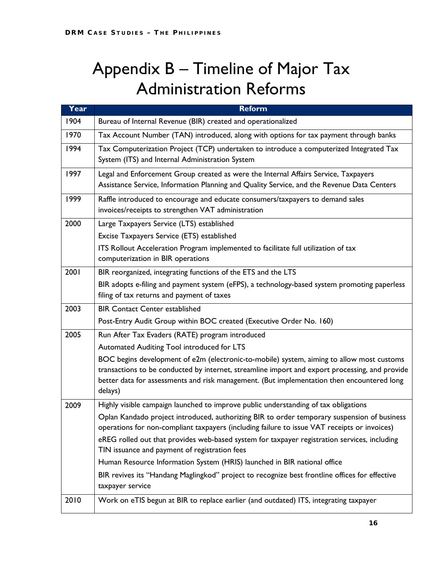## Appendix B – Timeline of Major Tax Administration Reforms

| Year | <b>Reform</b>                                                                                                                                                                                                                                                                                        |
|------|------------------------------------------------------------------------------------------------------------------------------------------------------------------------------------------------------------------------------------------------------------------------------------------------------|
| 1904 | Bureau of Internal Revenue (BIR) created and operationalized                                                                                                                                                                                                                                         |
| 1970 | Tax Account Number (TAN) introduced, along with options for tax payment through banks                                                                                                                                                                                                                |
| 1994 | Tax Computerization Project (TCP) undertaken to introduce a computerized Integrated Tax<br>System (ITS) and Internal Administration System                                                                                                                                                           |
| 1997 | Legal and Enforcement Group created as were the Internal Affairs Service, Taxpayers<br>Assistance Service, Information Planning and Quality Service, and the Revenue Data Centers                                                                                                                    |
| 1999 | Raffle introduced to encourage and educate consumers/taxpayers to demand sales<br>invoices/receipts to strengthen VAT administration                                                                                                                                                                 |
| 2000 | Large Taxpayers Service (LTS) established                                                                                                                                                                                                                                                            |
|      | Excise Taxpayers Service (ETS) established                                                                                                                                                                                                                                                           |
|      | ITS Rollout Acceleration Program implemented to facilitate full utilization of tax<br>computerization in BIR operations                                                                                                                                                                              |
| 2001 | BIR reorganized, integrating functions of the ETS and the LTS                                                                                                                                                                                                                                        |
|      | BIR adopts e-filing and payment system (eFPS), a technology-based system promoting paperless<br>filing of tax returns and payment of taxes                                                                                                                                                           |
| 2003 | <b>BIR Contact Center established</b>                                                                                                                                                                                                                                                                |
|      | Post-Entry Audit Group within BOC created (Executive Order No. 160)                                                                                                                                                                                                                                  |
| 2005 | Run After Tax Evaders (RATE) program introduced                                                                                                                                                                                                                                                      |
|      | Automated Auditing Tool introduced for LTS                                                                                                                                                                                                                                                           |
|      | BOC begins development of e2m (electronic-to-mobile) system, aiming to allow most customs<br>transactions to be conducted by internet, streamline import and export processing, and provide<br>better data for assessments and risk management. (But implementation then encountered long<br>delays) |
| 2009 | Highly visible campaign launched to improve public understanding of tax obligations                                                                                                                                                                                                                  |
|      | Oplan Kandado project introduced, authorizing BIR to order temporary suspension of business                                                                                                                                                                                                          |
|      | operations for non-compliant taxpayers (including failure to issue VAT receipts or invoices)                                                                                                                                                                                                         |
|      | eREG rolled out that provides web-based system for taxpayer registration services, including<br>TIN issuance and payment of registration fees                                                                                                                                                        |
|      | Human Resource Information System (HRIS) launched in BIR national office                                                                                                                                                                                                                             |
|      | BIR revives its "Handang Maglingkod" project to recognize best frontline offices for effective<br>taxpayer service                                                                                                                                                                                   |
| 2010 | Work on eTIS begun at BIR to replace earlier (and outdated) ITS, integrating taxpayer                                                                                                                                                                                                                |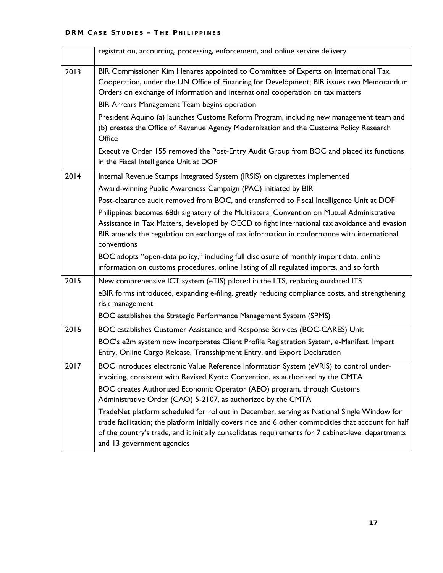|      | registration, accounting, processing, enforcement, and online service delivery                                                                                                                                                                                                                                                         |
|------|----------------------------------------------------------------------------------------------------------------------------------------------------------------------------------------------------------------------------------------------------------------------------------------------------------------------------------------|
| 2013 | BIR Commissioner Kim Henares appointed to Committee of Experts on International Tax<br>Cooperation, under the UN Office of Financing for Development; BIR issues two Memorandum<br>Orders on exchange of information and international cooperation on tax matters                                                                      |
|      | BIR Arrears Management Team begins operation                                                                                                                                                                                                                                                                                           |
|      | President Aquino (a) launches Customs Reform Program, including new management team and<br>(b) creates the Office of Revenue Agency Modernization and the Customs Policy Research<br>Office                                                                                                                                            |
|      | Executive Order 155 removed the Post-Entry Audit Group from BOC and placed its functions<br>in the Fiscal Intelligence Unit at DOF                                                                                                                                                                                                     |
| 2014 | Internal Revenue Stamps Integrated System (IRSIS) on cigarettes implemented                                                                                                                                                                                                                                                            |
|      | Award-winning Public Awareness Campaign (PAC) initiated by BIR                                                                                                                                                                                                                                                                         |
|      | Post-clearance audit removed from BOC, and transferred to Fiscal Intelligence Unit at DOF                                                                                                                                                                                                                                              |
|      | Philippines becomes 68th signatory of the Multilateral Convention on Mutual Administrative<br>Assistance in Tax Matters, developed by OECD to fight international tax avoidance and evasion<br>BIR amends the regulation on exchange of tax information in conformance with international<br>conventions                               |
|      | BOC adopts "open-data policy," including full disclosure of monthly import data, online<br>information on customs procedures, online listing of all regulated imports, and so forth                                                                                                                                                    |
| 2015 | New comprehensive ICT system (eTIS) piloted in the LTS, replacing outdated ITS                                                                                                                                                                                                                                                         |
|      | eBIR forms introduced, expanding e-filing, greatly reducing compliance costs, and strengthening<br>risk management                                                                                                                                                                                                                     |
|      | BOC establishes the Strategic Performance Management System (SPMS)                                                                                                                                                                                                                                                                     |
| 2016 | BOC establishes Customer Assistance and Response Services (BOC-CARES) Unit                                                                                                                                                                                                                                                             |
|      | BOC's e2m system now incorporates Client Profile Registration System, e-Manifest, Import<br>Entry, Online Cargo Release, Transshipment Entry, and Export Declaration                                                                                                                                                                   |
| 2017 | BOC introduces electronic Value Reference Information System (eVRIS) to control under-<br>invoicing, consistent with Revised Kyoto Convention, as authorized by the CMTA                                                                                                                                                               |
|      | BOC creates Authorized Economic Operator (AEO) program, through Customs<br>Administrative Order (CAO) 5-2107, as authorized by the CMTA                                                                                                                                                                                                |
|      | TradeNet platform scheduled for rollout in December, serving as National Single Window for<br>trade facilitation; the platform initially covers rice and 6 other commodities that account for half<br>of the country's trade, and it initially consolidates requirements for 7 cabinet-level departments<br>and 13 government agencies |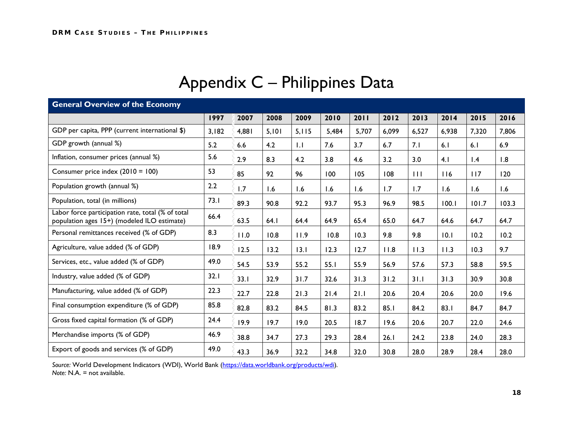| <b>General Overview of the Economy</b>                                                           |       |       |       |             |       |       |       |       |       |                 |       |
|--------------------------------------------------------------------------------------------------|-------|-------|-------|-------------|-------|-------|-------|-------|-------|-----------------|-------|
|                                                                                                  | 1997  | 2007  | 2008  | 2009        | 2010  | 2011  | 2012  | 2013  | 2014  | 2015            | 2016  |
| GDP per capita, PPP (current international \$)                                                   | 3,182 | 4,881 | 5,101 | 5.115       | 5,484 | 5,707 | 6,099 | 6,527 | 6,938 | 7,320           | 7,806 |
| GDP growth (annual %)                                                                            | 5.2   | 6.6   | 4.2   | $  \cdot  $ | 7.6   | 3.7   | 6.7   | 7.1   | 6.1   | 6.1             | 6.9   |
| Inflation, consumer prices (annual %)                                                            | 5.6   | 2.9   | 8.3   | 4.2         | 3.8   | 4.6   | 3.2   | 3.0   | 4.1   | $\mathsf{I}$ .4 | 1.8   |
| Consumer price index (2010 = 100)                                                                | 53    | 85    | 92    | 96          | 100   | 105   | 108   | 111   | 116   | 117             | 120   |
| Population growth (annual %)                                                                     | 2.2   | 1.7   | 1.6   | 1.6         | 1.6   | 1.6   | 1.7   | 1.7   | 1.6   | 1.6             | 1.6   |
| Population, total (in millions)                                                                  | 73.1  | 89.3  | 90.8  | 92.2        | 93.7  | 95.3  | 96.9  | 98.5  | 100.1 | 101.7           | 103.3 |
| Labor force participation rate, total (% of total<br>population ages 15+) (modeled ILO estimate) | 66.4  | 63.5  | 64.1  | 64.4        | 64.9  | 65.4  | 65.0  | 64.7  | 64.6  | 64.7            | 64.7  |
| Personal remittances received (% of GDP)                                                         | 8.3   | 11.0  | 10.8  | 11.9        | 10.8  | 10.3  | 9.8   | 9.8   | 10.1  | 10.2            | 10.2  |
| Agriculture, value added (% of GDP)                                                              | 18.9  | 12.5  | 13.2  | 13.1        | 12.3  | 12.7  | 11.8  | 11.3  | 11.3  | 10.3            | 9.7   |
| Services, etc., value added (% of GDP)                                                           | 49.0  | 54.5  | 53.9  | 55.2        | 55.1  | 55.9  | 56.9  | 57.6  | 57.3  | 58.8            | 59.5  |
| Industry, value added (% of GDP)                                                                 | 32.1  | 33.1  | 32.9  | 31.7        | 32.6  | 31.3  | 31.2  | 31.1  | 31.3  | 30.9            | 30.8  |
| Manufacturing, value added (% of GDP)                                                            | 22.3  | 22.7  | 22.8  | 21.3        | 21.4  | 21.1  | 20.6  | 20.4  | 20.6  | 20.0            | 19.6  |
| Final consumption expenditure (% of GDP)                                                         | 85.8  | 82.8  | 83.2  | 84.5        | 81.3  | 83.2  | 85.1  | 84.2  | 83.1  | 84.7            | 84.7  |
| Gross fixed capital formation (% of GDP)                                                         | 24.4  | 19.9  | 19.7  | 19.0        | 20.5  | 18.7  | 19.6  | 20.6  | 20.7  | 22.0            | 24.6  |
| Merchandise imports (% of GDP)                                                                   | 46.9  | 38.8  | 34.7  | 27.3        | 29.3  | 28.4  | 26.1  | 24.2  | 23.8  | 24.0            | 28.3  |
| Export of goods and services (% of GDP)                                                          | 49.0  | 43.3  | 36.9  | 32.2        | 34.8  | 32.0  | 30.8  | 28.0  | 28.9  | 28.4            | 28.0  |

## Appendix C – Philippines Data

*Source:* World Development Indicators (WDI), World Bank [\(https://data.worldbank.org/products/wdi\)](https://data.worldbank.org/products/wdi)*. Note:* N.A. = not available.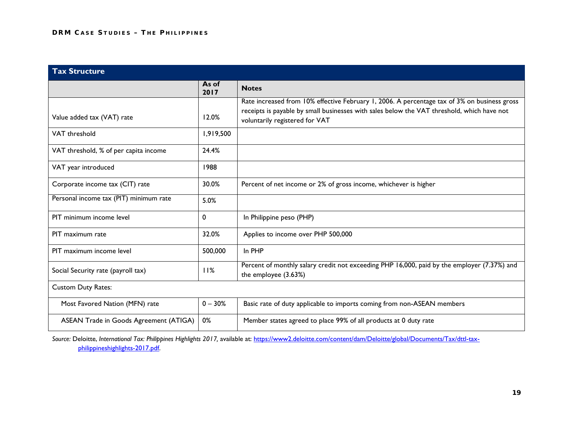| <b>Tax Structure</b>                   |               |                                                                                                                                                                                                                              |
|----------------------------------------|---------------|------------------------------------------------------------------------------------------------------------------------------------------------------------------------------------------------------------------------------|
|                                        | As of<br>2017 | <b>Notes</b>                                                                                                                                                                                                                 |
| Value added tax (VAT) rate             | 12.0%         | Rate increased from 10% effective February 1, 2006. A percentage tax of 3% on business gross<br>receipts is payable by small businesses with sales below the VAT threshold, which have not<br>voluntarily registered for VAT |
| VAT threshold                          | 1,919,500     |                                                                                                                                                                                                                              |
| VAT threshold, % of per capita income  | 24.4%         |                                                                                                                                                                                                                              |
| VAT year introduced                    | 1988          |                                                                                                                                                                                                                              |
| Corporate income tax (CIT) rate        | 30.0%         | Percent of net income or 2% of gross income, whichever is higher                                                                                                                                                             |
| Personal income tax (PIT) minimum rate | 5.0%          |                                                                                                                                                                                                                              |
| PIT minimum income level               | $\mathbf 0$   | In Philippine peso (PHP)                                                                                                                                                                                                     |
| PIT maximum rate                       | 32.0%         | Applies to income over PHP 500,000                                                                                                                                                                                           |
| PIT maximum income level               | 500,000       | In PHP                                                                                                                                                                                                                       |
| Social Security rate (payroll tax)     | 11%           | Percent of monthly salary credit not exceeding PHP 16,000, paid by the employer (7.37%) and<br>the employee (3.63%)                                                                                                          |
| <b>Custom Duty Rates:</b>              |               |                                                                                                                                                                                                                              |
| Most Favored Nation (MFN) rate         | $0 - 30%$     | Basic rate of duty applicable to imports coming from non-ASEAN members                                                                                                                                                       |
| ASEAN Trade in Goods Agreement (ATIGA) | 0%            | Member states agreed to place 99% of all products at 0 duty rate                                                                                                                                                             |

*Source:* Deloitte, *International Tax: Philippines Highlights 2017,* available at: [https://www2.deloitte.com/content/dam/Deloitte/global/Documents/Tax/dttl-tax](https://www2.deloitte.com/content/dam/Deloitte/global/Documents/Tax/dttl-tax-philippineshighlights-2017.pdf)[philippineshighlights-2017.pdf.](https://www2.deloitte.com/content/dam/Deloitte/global/Documents/Tax/dttl-tax-philippineshighlights-2017.pdf)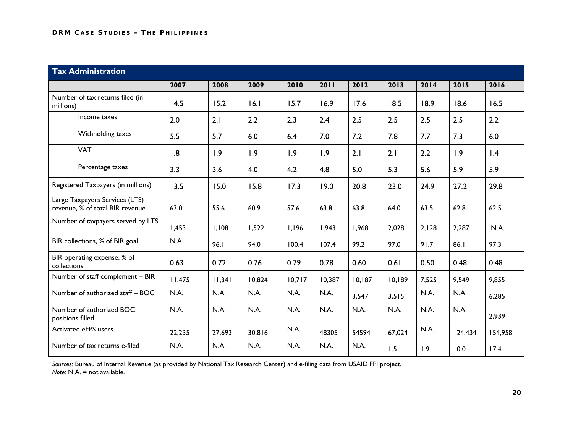| <b>Tax Administration</b>                                         |        |        |        |        |        |        |        |       |         |         |  |
|-------------------------------------------------------------------|--------|--------|--------|--------|--------|--------|--------|-------|---------|---------|--|
|                                                                   | 2007   | 2008   | 2009   | 2010   | 2011   | 2012   | 2013   | 2014  | 2015    | 2016    |  |
| Number of tax returns filed (in<br>millions)                      | 14.5   | 15.2   | 16.1   | 15.7   | 16.9   | 17.6   | 18.5   | 18.9  | 18.6    | 16.5    |  |
| Income taxes                                                      | 2.0    | 2.1    | 2.2    | 2.3    | 2.4    | 2.5    | 2.5    | 2.5   | 2.5     | 2.2     |  |
| Withholding taxes                                                 | 5.5    | 5.7    | 6.0    | 6.4    | 7.0    | 7.2    | 7.8    | 7.7   | 7.3     | 6.0     |  |
| <b>VAT</b>                                                        | 1.8    | 1.9    | 1.9    | 1.9    | 1.9    | 2.1    | 2.1    | 2.2   | 1.9     | 1.4     |  |
| Percentage taxes                                                  | 3.3    | 3.6    | 4.0    | 4.2    | 4.8    | 5.0    | 5.3    | 5.6   | 5.9     | 5.9     |  |
| Registered Taxpayers (in millions)                                | 13.5   | 15.0   | 15.8   | 17.3   | 19.0   | 20.8   | 23.0   | 24.9  | 27.2    | 29.8    |  |
| Large Taxpayers Services (LTS)<br>revenue, % of total BIR revenue | 63.0   | 55.6   | 60.9   | 57.6   | 63.8   | 63.8   | 64.0   | 63.5  | 62.8    | 62.5    |  |
| Number of taxpayers served by LTS                                 | 1,453  | 1,108  | 1,522  | 1,196  | 1,943  | 1,968  | 2,028  | 2,128 | 2,287   | N.A.    |  |
| BIR collections, % of BIR goal                                    | N.A.   | 96.1   | 94.0   | 100.4  | 107.4  | 99.2   | 97.0   | 91.7  | 86.1    | 97.3    |  |
| BIR operating expense, % of<br>collections                        | 0.63   | 0.72   | 0.76   | 0.79   | 0.78   | 0.60   | 0.61   | 0.50  | 0.48    | 0.48    |  |
| Number of staff complement - BIR                                  | 11,475 | 11,341 | 10,824 | 10,717 | 10,387 | 10,187 | 10,189 | 7,525 | 9,549   | 9,855   |  |
| Number of authorized staff - BOC                                  | N.A.   | N.A.   | N.A.   | N.A.   | N.A.   | 3,547  | 3,515  | N.A.  | N.A.    | 6,285   |  |
| Number of authorized BOC<br>positions filled                      | N.A.   | N.A.   | N.A.   | N.A.   | N.A.   | N.A.   | N.A.   | N.A.  | N.A.    | 2,939   |  |
| Activated eFPS users                                              | 22,235 | 27,693 | 30,816 | N.A.   | 48305  | 54594  | 67,024 | N.A.  | 124,434 | 154,958 |  |
| Number of tax returns e-filed                                     | N.A.   | N.A.   | N.A.   | N.A.   | N.A.   | N.A.   | 1.5    | 1.9   | 10.0    | 17.4    |  |

*Sources:* Bureau of Internal Revenue (as provided by National Tax Research Center) and e-filing data from USAID FPI project. *Note:* N.A. = not available.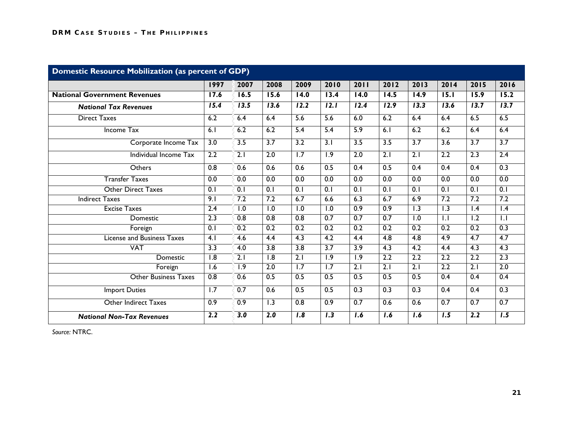| <b>Domestic Resource Mobilization (as percent of GDP)</b> |                  |                  |                   |                   |                   |                  |                  |                  |                  |                   |                  |
|-----------------------------------------------------------|------------------|------------------|-------------------|-------------------|-------------------|------------------|------------------|------------------|------------------|-------------------|------------------|
|                                                           | 1997             | 2007             | 2008              | 2009              | 2010              | 2011             | 2012             | 2013             | 2014             | 2015              | 2016             |
| <b>National Government Revenues</b>                       | 17.6             | 16.5             | 15.6              | $\overline{14.0}$ | 13.4              | 14.0             | 14.5             | 14.9             | 15.1             | 15.9              | 15.2             |
| <b>National Tax Revenues</b>                              | 15.4             | 13.5             | $\overline{13.6}$ | 12.2              | $\overline{12.1}$ | 12.4             | 12.9             | 13.3             | 13.6             | $\overline{13.7}$ | 13.7             |
| <b>Direct Taxes</b>                                       | 6.2              | 6.4              | 6.4               | $\overline{5.6}$  | $\overline{5.6}$  | 6.0              | 6.2              | 6.4              | 6.4              | 6.5               | 6.5              |
| Income Tax                                                | 6.1              | 6.2              | 6.2               | 5.4               | 5.4               | 5.9              | 6.1              | 6.2              | 6.2              | 6.4               | 6.4              |
| Corporate Income Tax                                      | $\overline{3.0}$ | 3.5              | 3.7               | $\overline{3.2}$  | 3.1               | 3.5              | 3.5              | $\overline{3.7}$ | 3.6              | 3.7               | $\overline{3.7}$ |
| Individual Income Tax                                     | 2.2              | $\overline{2.1}$ | $\overline{2.0}$  | $\overline{1.7}$  | $\overline{1.9}$  | $\overline{2.0}$ | $\overline{2.1}$ | $\overline{2.1}$ | $\overline{2.2}$ | $\overline{2.3}$  | 2.4              |
| Others                                                    | 0.8              | 0.6              | 0.6               | 0.6               | 0.5               | 0.4              | 0.5              | 0.4              | 0.4              | 0.4               | 0.3              |
| <b>Transfer Taxes</b>                                     | $\overline{0.0}$ | 0.0              | 0.0               | 0.0               | $\overline{0.0}$  | $\overline{0.0}$ | 0.0              | 0.0              | 0.0              | 0.0               | 0.0              |
| <b>Other Direct Taxes</b>                                 | $\overline{0.1}$ | $\overline{0.1}$ | $\overline{0.1}$  | $\overline{0.1}$  | $\overline{0.1}$  | $\overline{0.1}$ | $\overline{0.1}$ | $\overline{0.1}$ | $\overline{0.1}$ | $\overline{0.1}$  | 0.1              |
| <b>Indirect Taxes</b>                                     | 9.1              | 7.2              | 7.2               | 6.7               | 6.6               | 6.3              | 6.7              | 6.9              | 7.2              | 7.2               | 7.2              |
| <b>Excise Taxes</b>                                       | 2.4              | 1.0              | 1.0               | 1.0               | 1.0               | 0.9              | 0.9              | 1.3              | 1.3              | 1.4               | $\mathsf{I}$ .4  |
| <b>Domestic</b>                                           | 2.3              | 0.8              | $\overline{0.8}$  | $\overline{0.8}$  | 0.7               | 0.7              | $\overline{0.7}$ | 1.0              | $  \cdot  $      | 1.2               | $\overline{1.1}$ |
| Foreign                                                   | 0.1              | 0.2              | $\overline{0.2}$  | $\overline{0.2}$  | $\overline{0.2}$  | $\overline{0.2}$ | $\overline{0.2}$ | $\overline{0.2}$ | 0.2              | $\overline{0.2}$  | 0.3              |
| <b>License and Business Taxes</b>                         | $\overline{4.1}$ | 4.6              | 4.4               | 4.3               | $\overline{4.2}$  | 4.4              | 4.8              | $\overline{4.8}$ | $\overline{4.9}$ | 4.7               | 4.7              |
| <b>VAT</b>                                                | 3.3              | $\overline{4.0}$ | $\overline{3.8}$  | $\overline{3.8}$  | 3.7               | 3.9              | 4.3              | 4.2              | 4.4              | 4.3               | 4.3              |
| Domestic                                                  | $\overline{1.8}$ | $\overline{2.1}$ | 1.8               | 2.1               | $\overline{1.9}$  | 1.9              | 2.2              | $\overline{2.2}$ | 2.2              | 2.2               | 2.3              |
| Foreign                                                   | 1.6              | $\overline{1.9}$ | $\overline{2.0}$  | $\overline{1.7}$  | $\overline{1.7}$  | $\overline{2.1}$ | $\overline{2.1}$ | $\overline{2.1}$ | $\overline{2.2}$ | $\overline{2.1}$  | $\overline{2.0}$ |
| <b>Other Business Taxes</b>                               | 0.8              | 0.6              | 0.5               | 0.5               | 0.5               | 0.5              | 0.5              | 0.5              | 0.4              | 0.4               | 0.4              |
| <b>Import Duties</b>                                      | 1.7              | 0.7              | 0.6               | 0.5               | 0.5               | 0.3              | 0.3              | 0.3              | 0.4              | 0.4               | 0.3              |
| <b>Other Indirect Taxes</b>                               | 0.9              | 0.9              | 1.3               | 0.8               | 0.9               | 0.7              | 0.6              | 0.6              | 0.7              | 0.7               | 0.7              |
| <b>National Non-Tax Revenues</b>                          | 2.2              | 3.0              | 2.0               | $\overline{1.8}$  | 1.3               | 1.6              | 1.6              | 1.6              | 1.5              | 2.2               | $\overline{1.5}$ |

*Source:* NTRC.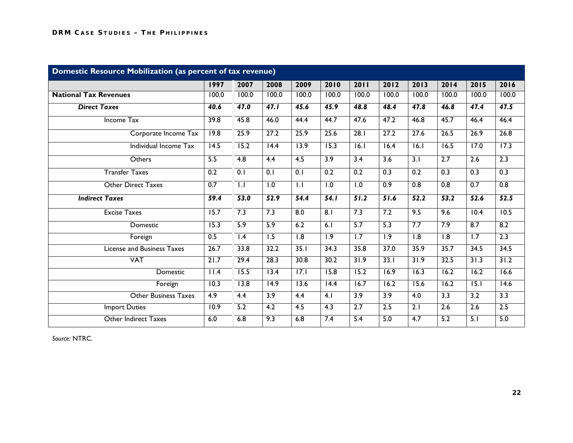| Domestic Resource Mobilization (as percent of tax revenue) |                   |                  |                   |                   |                   |                   |                  |                   |                   |                   |                   |
|------------------------------------------------------------|-------------------|------------------|-------------------|-------------------|-------------------|-------------------|------------------|-------------------|-------------------|-------------------|-------------------|
|                                                            | 1997              | 2007             | 2008              | 2009              | 2010              | 2011              | 2012             | 2013              | 2014              | 2015              | 2016              |
| <b>National Tax Revenues</b>                               | 100.0             | 100.0            | 100.0             | 100.0             | 100.0             | 100.0             | 100.0            | 100.0             | 100.0             | 100.0             | 100.0             |
| <b>Direct Taxes</b>                                        | 40.6              | 47.0             | 47.1              | 45.6              | 45.9              | 48.8              | 48.4             | 47.8              | 46.8              | 47.4              | 47.5              |
| <b>Income Tax</b>                                          | 39.8              | 45.8             | 46.0              | 44.4              | 44.7              | 47.6              | 47.2             | 46.8              | 45.7              | 46.4              | 46.4              |
| Corporate Income Tax                                       | 19.8              | 25.9             | 27.2              | 25.9              | 25.6              | 28.1              | 27.2             | 27.6              | 26.5              | 26.9              | 26.8              |
| Individual Income Tax                                      | $\overline{14.5}$ | 15.2             | $\overline{14.4}$ | 13.9              | $\overline{15.3}$ | 6.1               | 16.4             | $\overline{16.1}$ | $\overline{16.5}$ | $\overline{17.0}$ | 17.3              |
| Others                                                     | 5.5               | 4.8              | 4.4               | 4.5               | 3.9               | 3.4               | 3.6              | $\overline{3.1}$  | 2.7               | 2.6               | 2.3               |
| <b>Transfer Taxes</b>                                      | 0.2               | $\overline{0.1}$ | $\overline{0.1}$  | 0.1               | 0.2               | $\overline{0.2}$  | 0.3              | $\overline{0.2}$  | 0.3               | 0.3               | 0.3               |
| <b>Other Direct Taxes</b>                                  | 0.7               | $\overline{1.1}$ | $\overline{1.0}$  | $\overline{1.1}$  | $\overline{1.0}$  | $\overline{1.0}$  | 0.9              | 0.8               | $\overline{0.8}$  | $\overline{0.7}$  | 0.8               |
| <b>Indirect Taxes</b>                                      | 59.4              | 53.0             | 52.9              | 54.4              | 54.1              | 51.2              | 51.6             | 52.2              | 53.2              | 52.6              | 52.5              |
| <b>Excise Taxes</b>                                        | 15.7              | 7.3              | 7.3               | 8.0               | 8.1               | 7.3               | 7.2              | 9.5               | 9.6               | 10.4              | 10.5              |
| Domestic                                                   | 15.3              | 5.9              | 5.9               | 6.2               | 6.1               | 5.7               | 5.3              | 7.7               | 7.9               | 8.7               | 8.2               |
| Foreign                                                    | 0.5               | $\overline{1.4}$ | $\overline{1.5}$  | $\overline{1.8}$  | $\overline{1.9}$  | $\overline{1.7}$  | $\overline{1.9}$ | $\overline{1.8}$  | $\overline{1.8}$  | $\overline{1.7}$  | 2.3               |
| <b>License and Business Taxes</b>                          | 26.7              | 33.8             | 32.2              | 35.1              | 34.3              | 35.8              | 37.0             | 35.9              | 35.7              | 34.5              | 34.5              |
| <b>VAT</b>                                                 | 21.7              | 29.4             | 28.3              | 30.8              | 30.2              | 31.9              | 33.1             | 31.9              | 32.5              | 31.3              | 31.2              |
| Domestic                                                   | 11.4              | 15.5             | $\overline{13.4}$ | $\overline{17.1}$ | 15.8              | 15.2              | 16.9             | $\overline{16.3}$ | $\overline{16.2}$ | $\overline{16.2}$ | $\overline{16.6}$ |
| Foreign                                                    | 10.3              | 13.8             | 14.9              | 13.6              | $\overline{14.4}$ | $\overline{16.7}$ | 16.2             | 15.6              | $\overline{16.2}$ | 15.1              | 14.6              |
| <b>Other Business Taxes</b>                                | 4.9               | $\overline{4.4}$ | 3.9               | 4.4               | 4.1               | 3.9               | 3.9              | 4.0               | $\overline{3.3}$  | 3.2               | $\overline{3.3}$  |
| <b>Import Duties</b>                                       | 10.9              | 5.2              | $\overline{4.2}$  | $\overline{4.5}$  | $\overline{4.3}$  | $\overline{2.7}$  | $\overline{2.5}$ | $\overline{2.1}$  | $\overline{2.6}$  | $\overline{2.6}$  | 2.5               |
| Other Indirect Taxes                                       | 6.0               | 6.8              | 9.3               | 6.8               | 7.4               | 5.4               | 5.0              | 4.7               | 5.2               | 5.1               | 5.0               |

*Source:* NTRC.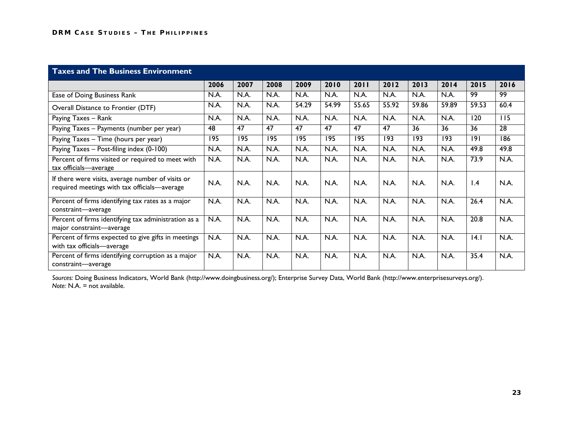| <b>Taxes and The Business Environment</b>                                                         |      |      |      |       |       |       |       |       |       |       |                  |
|---------------------------------------------------------------------------------------------------|------|------|------|-------|-------|-------|-------|-------|-------|-------|------------------|
|                                                                                                   | 2006 | 2007 | 2008 | 2009  | 2010  | 2011  | 2012  | 2013  | 2014  | 2015  | 2016             |
| Ease of Doing Business Rank                                                                       | N.A. | N.A. | N.A. | N.A.  | N.A.  | N.A.  | N.A.  | N.A.  | N.A.  | 99    | 99               |
| Overall Distance to Frontier (DTF)                                                                | N.A. | N.A. | N.A. | 54.29 | 54.99 | 55.65 | 55.92 | 59.86 | 59.89 | 59.53 | 60.4             |
| Paying Taxes - Rank                                                                               | N.A. | N.A. | N.A. | N.A.  | N.A.  | N.A.  | N.A.  | N.A.  | N.A.  | 120   | $\overline{115}$ |
| Paying Taxes - Payments (number per year)                                                         | 48   | 47   | 47   | 47    | 47    | 47    | 47    | 36    | 36    | 36    | $\overline{28}$  |
| Paying Taxes - Time (hours per year)                                                              | 195  | 195  | 195  | 195   | 195   | 195   | 193   | 193   | 193   | 9     | $\overline{186}$ |
| Paying Taxes - Post-filing index (0-100)                                                          | N.A. | N.A. | N.A. | N.A.  | N.A.  | N.A.  | N.A.  | N.A.  | N.A.  | 49.8  | 49.8             |
| Percent of firms visited or required to meet with<br>tax officials-average                        | N.A. | N.A. | N.A. | N.A.  | N.A.  | N.A.  | N.A.  | N.A.  | N.A.  | 73.9  | N.A.             |
| If there were visits, average number of visits or<br>required meetings with tax officials-average | N.A. | N.A. | N.A. | N.A.  | N.A.  | N.A.  | N.A.  | N.A.  | N.A.  | 1.4   | N.A.             |
| Percent of firms identifying tax rates as a major<br>constraint-average                           | N.A. | N.A. | N.A. | N.A.  | N.A.  | N.A.  | N.A.  | N.A.  | N.A.  | 26.4  | N.A.             |
| Percent of firms identifying tax administration as a<br>major constraint-average                  | N.A. | N.A. | N.A. | N.A.  | N.A.  | N.A.  | N.A.  | N.A.  | N.A.  | 20.8  | N.A.             |
| Percent of firms expected to give gifts in meetings<br>with tax officials-average                 | N.A. | N.A. | N.A. | N.A.  | N.A.  | N.A.  | N.A.  | N.A.  | N.A.  | 4.1   | N.A.             |
| Percent of firms identifying corruption as a major<br>constraint-average                          | N.A. | N.A. | N.A. | N.A.  | N.A.  | N.A.  | N.A.  | N.A.  | N.A.  | 35.4  | N.A.             |

*Sources:* Doing Business Indicators, World Bank (http://www.doingbusiness.org/); Enterprise Survey Data, World Bank (http://www.enterprisesurveys.org/). *Note:* N.A. = not available.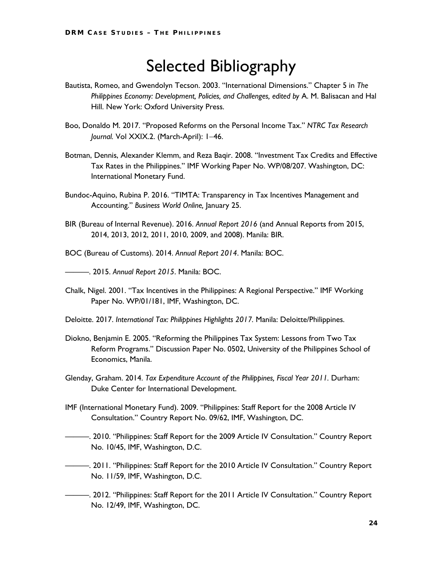### Selected Bibliography

- Bautista, Romeo, and Gwendolyn Tecson. 2003. "International Dimensions." Chapter 5 in *The Philippines Economy: Development, Policies, and Challenges, edited by* A. M. Balisacan and Hal Hill. New York: Oxford University Press.
- Boo, Donaldo M. 2017. "Proposed Reforms on the Personal Income Tax." *NTRC Tax Research Journal.* Vol XXIX.2. (March-April): 1−46.
- Botman, Dennis, Alexander Klemm, and Reza Baqir. 2008. "Investment Tax Credits and Effective Tax Rates in the Philippines." IMF Working Paper No. WP/08/207. Washington, DC: International Monetary Fund.
- Bundoc-Aquino, Rubina P. 2016. "TIMTA: Transparency in Tax Incentives Management and Accounting." *Business World Online,* January 25.
- BIR (Bureau of Internal Revenue). 2016. *Annual Report 2016* (and Annual Reports from 2015, 2014, 2013, 2012, 2011, 2010, 2009, and 2008). Manila: BIR.

BOC (Bureau of Customs). 2014. *Annual Report 2014*. Manila: BOC.

———. 2015. *Annual Report 2015*. Manila: BOC.

Chalk, Nigel. 2001. "Tax Incentives in the Philippines: A Regional Perspective." IMF Working Paper No. WP/01/181, IMF, Washington, DC.

Deloitte. 2017. *International Tax: Philippines Highlights 2017*. Manila: Deloitte/Philippines.

- Diokno, Benjamin E. 2005. "Reforming the Philippines Tax System: Lessons from Two Tax Reform Programs." Discussion Paper No. 0502, University of the Philippines School of Economics, Manila.
- Glenday, Graham. 2014. *Tax Expenditure Account of the Philippines, Fiscal Year 2011.* Durham: Duke Center for International Development.
- IMF (International Monetary Fund). 2009. "Philippines: Staff Report for the 2008 Article IV Consultation." Country Report No. 09/62, IMF, Washington, DC.
- ———. 2010. "Philippines: Staff Report for the 2009 Article IV Consultation." Country Report No. 10/45, IMF, Washington, D.C.
- ———. 2011. "Philippines: Staff Report for the 2010 Article IV Consultation." Country Report No. 11/59, IMF, Washington, D.C.
- ———. 2012. "Philippines: Staff Report for the 2011 Article IV Consultation." Country Report No. 12/49, IMF, Washington, DC.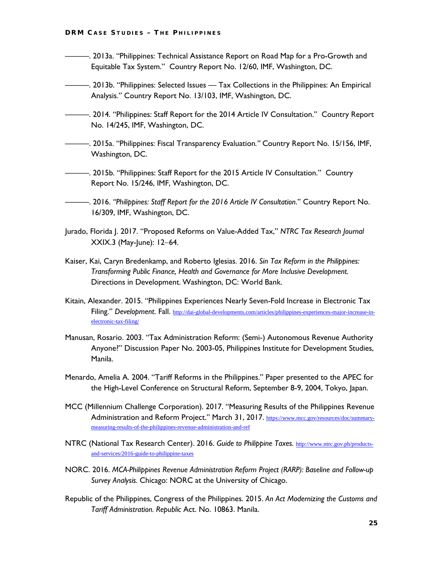- ———. 2013a. "Philippines: Technical Assistance Report on Road Map for a Pro-Growth and Equitable Tax System." Country Report No. 12/60, IMF, Washington, DC.
- ———. 2013b. "Philippines: Selected Issues Tax Collections in the Philippines: An Empirical Analysis." Country Report No. 13/103, IMF, Washington, DC.
- —. 2014. "Philippines: Staff Report for the 2014 Article IV Consultation." Country Report No. 14/245, IMF, Washington, DC.
- ———. 2015a. "Philippines: Fiscal Transparency Evaluation*."* Country Report No. 15/156, IMF, Washington, DC.
- ———. 2015b. "Philippines: Staff Report for the 2015 Article IV Consultation." Country Report No. 15/246, IMF, Washington, DC.
	- ———. 2016. *"Philippines: Staff Report for the 2016 Article IV Consultation*." Country Report No. 16/309, IMF, Washington, DC.
- Jurado, Florida J. 2017. "Proposed Reforms on Value-Added Tax," *NTRC Tax Research Journal*  XXIX.3 (May-June): 12−64.
- Kaiser, Kai, Caryn Bredenkamp, and Roberto Iglesias. 2016. *Sin Tax Reform in the Philippines: Transforming Public Finance, Health and Governance for More Inclusive Development.*  Directions in Development. Washington, DC: World Bank.
- Kitain, Alexander. 2015. "Philippines Experiences Nearly Seven-Fold Increase in Electronic Tax Filing." *Development*. Fall. [http://dai-global-developments.com/articles/philippines-experiences-major-increase-in](http://dai-global-developments.com/articles/philippines-experiences-major-increase-in-electronic-tax-filing/)[electronic-tax-filing/](http://dai-global-developments.com/articles/philippines-experiences-major-increase-in-electronic-tax-filing/)
- Manusan, Rosario. 2003. "Tax Administration Reform: (Semi-) Autonomous Revenue Authority Anyone?" Discussion Paper No. 2003-05, Philippines Institute for Development Studies, Manila.
- Menardo, Amelia A. 2004. "Tariff Reforms in the Philippines." Paper presented to the APEC for the High-Level Conference on Structural Reform, September 8-9, 2004, Tokyo, Japan.
- MCC (Millennium Challenge Corporation). 2017. "Measuring Results of the Philippines Revenue Administration and Reform Project." March 31, 2017. https://www.mcc.gov/resources/doc/summarymeasuring-results-of-the-philippines-revenue-administration-and-ref
- NTRC (National Tax Research Center). 2016. *Guide to Philippine Taxes.* [http://www.ntrc.gov.ph/products](http://www.ntrc.gov.ph/products-and-services/2016-guide-to-philippine-taxes)[and-services/2016-guide-to-philippine-taxes](http://www.ntrc.gov.ph/products-and-services/2016-guide-to-philippine-taxes)
- NORC. 2016. *MCA-Philippines Revenue Administration Reform Project (RARP): Baseline and Follow-up Survey Analysis.* Chicago: NORC at the University of Chicago.
- Republic of the Philippines, Congress of the Philippines. 2015. *An Act Modernizing the Customs and Tariff Administration. Republic* Act. No. 10863. Manila.